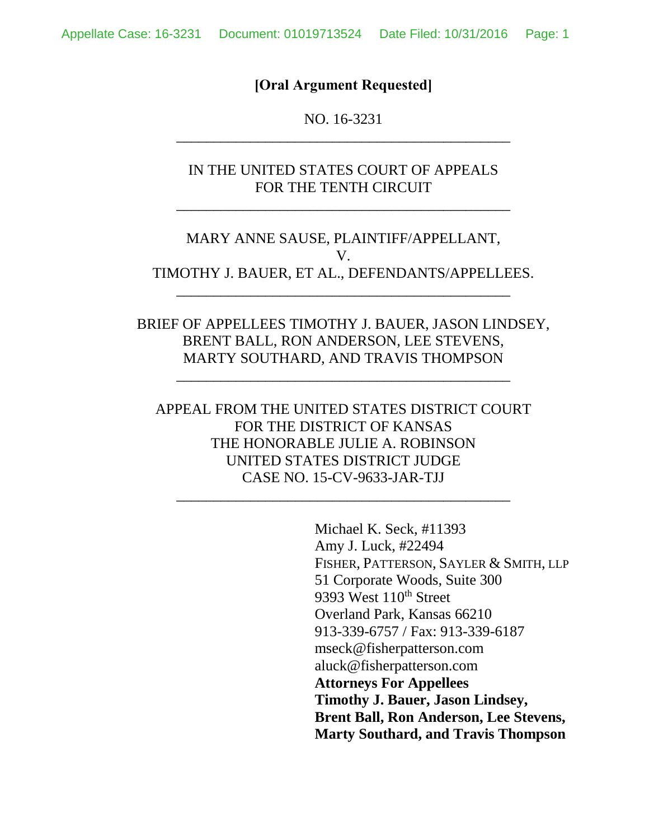### **[Oral Argument Requested]**

NO. 16-3231 \_\_\_\_\_\_\_\_\_\_\_\_\_\_\_\_\_\_\_\_\_\_\_\_\_\_\_\_\_\_\_\_\_\_\_\_\_\_\_\_\_\_\_\_\_

IN THE UNITED STATES COURT OF APPEALS FOR THE TENTH CIRCUIT

\_\_\_\_\_\_\_\_\_\_\_\_\_\_\_\_\_\_\_\_\_\_\_\_\_\_\_\_\_\_\_\_\_\_\_\_\_\_\_\_\_\_\_\_\_

MARY ANNE SAUSE, PLAINTIFF/APPELLANT, V. TIMOTHY J. BAUER, ET AL., DEFENDANTS/APPELLEES.

\_\_\_\_\_\_\_\_\_\_\_\_\_\_\_\_\_\_\_\_\_\_\_\_\_\_\_\_\_\_\_\_\_\_\_\_\_\_\_\_\_\_\_\_\_

BRIEF OF APPELLEES TIMOTHY J. BAUER, JASON LINDSEY, BRENT BALL, RON ANDERSON, LEE STEVENS, MARTY SOUTHARD, AND TRAVIS THOMPSON

\_\_\_\_\_\_\_\_\_\_\_\_\_\_\_\_\_\_\_\_\_\_\_\_\_\_\_\_\_\_\_\_\_\_\_\_\_\_\_\_\_\_\_\_\_

APPEAL FROM THE UNITED STATES DISTRICT COURT FOR THE DISTRICT OF KANSAS THE HONORABLE JULIE A. ROBINSON UNITED STATES DISTRICT JUDGE CASE NO. 15-CV-9633-JAR-TJJ

\_\_\_\_\_\_\_\_\_\_\_\_\_\_\_\_\_\_\_\_\_\_\_\_\_\_\_\_\_\_\_\_\_\_\_\_\_\_\_\_\_\_\_\_\_

Michael K. Seck, #11393 Amy J. Luck, #22494 FISHER, PATTERSON, SAYLER & SMITH, LLP 51 Corporate Woods, Suite 300 9393 West 110<sup>th</sup> Street Overland Park, Kansas 66210 913-339-6757 / Fax: 913-339-6187 mseck@fisherpatterson.com aluck@fisherpatterson.com **Attorneys For Appellees Timothy J. Bauer, Jason Lindsey, Brent Ball, Ron Anderson, Lee Stevens, Marty Southard, and Travis Thompson**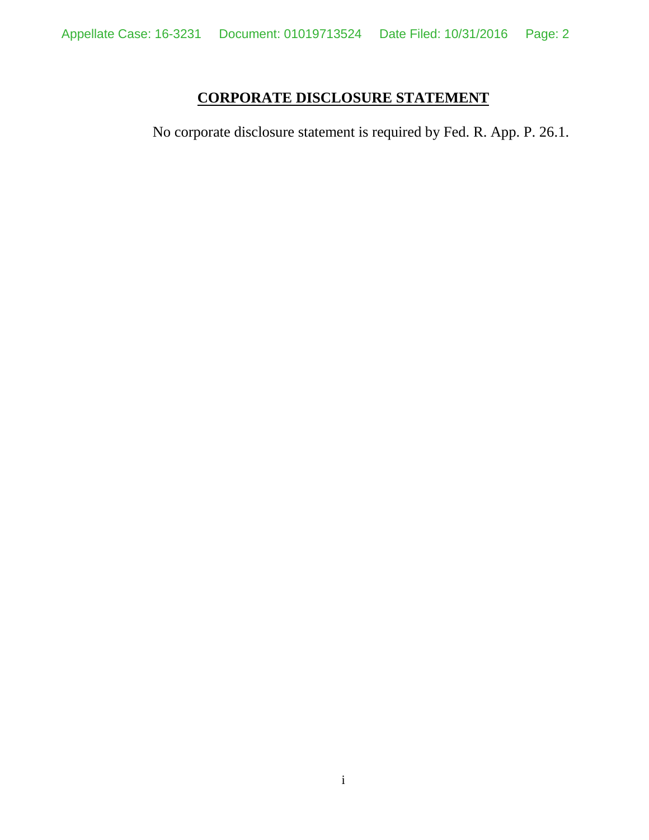# **CORPORATE DISCLOSURE STATEMENT**

<span id="page-1-0"></span>No corporate disclosure statement is required by Fed. R. App. P. 26.1.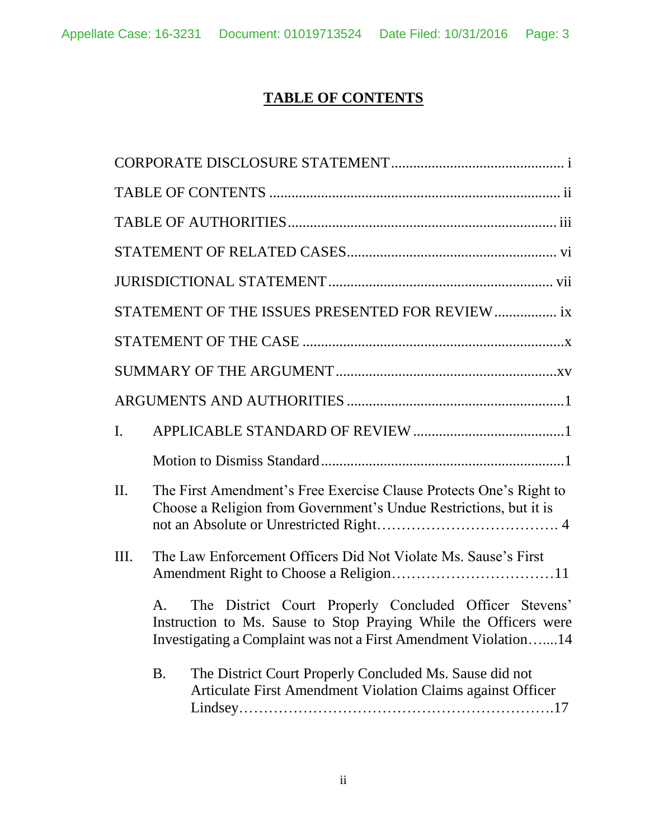# **TABLE OF CONTENTS**

<span id="page-2-0"></span>

|                | STATEMENT OF THE ISSUES PRESENTED FOR REVIEW  ix                                                                                                                                                    |
|----------------|-----------------------------------------------------------------------------------------------------------------------------------------------------------------------------------------------------|
|                |                                                                                                                                                                                                     |
|                |                                                                                                                                                                                                     |
|                |                                                                                                                                                                                                     |
| $\mathbf{I}$ . |                                                                                                                                                                                                     |
|                |                                                                                                                                                                                                     |
| $\Pi$ .        | The First Amendment's Free Exercise Clause Protects One's Right to<br>Choose a Religion from Government's Undue Restrictions, but it is                                                             |
| III.           | The Law Enforcement Officers Did Not Violate Ms. Sause's First                                                                                                                                      |
|                | The District Court Properly Concluded Officer Stevens'<br>А.<br>Instruction to Ms. Sause to Stop Praying While the Officers were<br>Investigating a Complaint was not a First Amendment Violation14 |
|                | The District Court Properly Concluded Ms. Sause did not<br><b>B.</b><br>Articulate First Amendment Violation Claims against Officer                                                                 |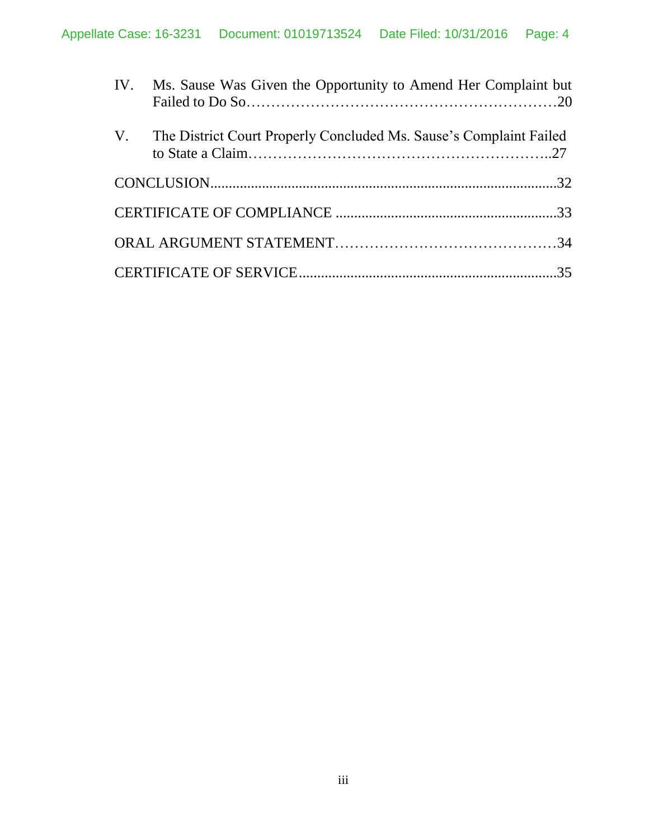| IV. Ms. Sause Was Given the Opportunity to Amend Her Complaint but    |  |
|-----------------------------------------------------------------------|--|
| V. The District Court Properly Concluded Ms. Sause's Complaint Failed |  |
|                                                                       |  |
|                                                                       |  |
|                                                                       |  |
|                                                                       |  |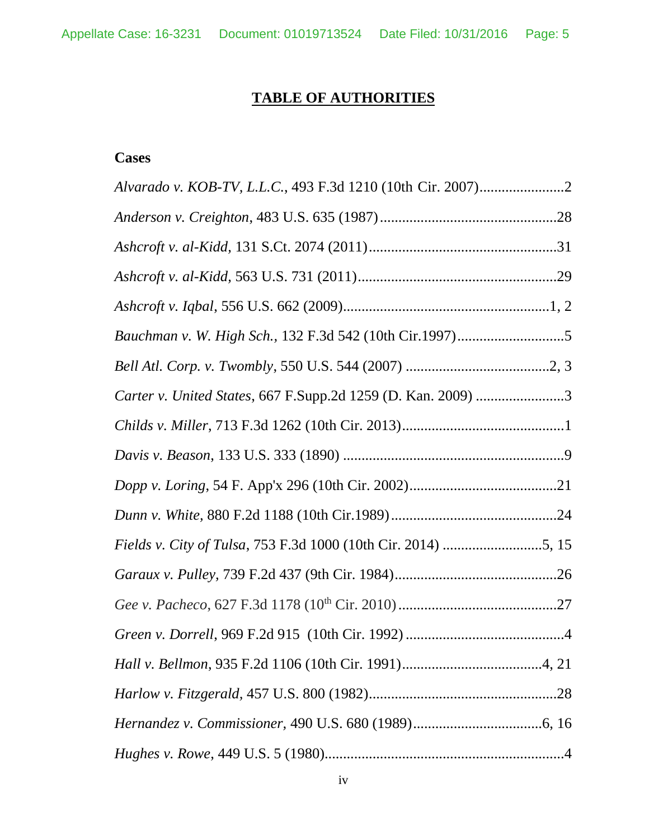# **TABLE OF AUTHORITIES**

# <span id="page-4-0"></span>**Cases**

| Carter v. United States, 667 F.Supp.2d 1259 (D. Kan. 2009) 3 |  |
|--------------------------------------------------------------|--|
|                                                              |  |
|                                                              |  |
|                                                              |  |
|                                                              |  |
|                                                              |  |
|                                                              |  |
|                                                              |  |
|                                                              |  |
|                                                              |  |
|                                                              |  |
|                                                              |  |
|                                                              |  |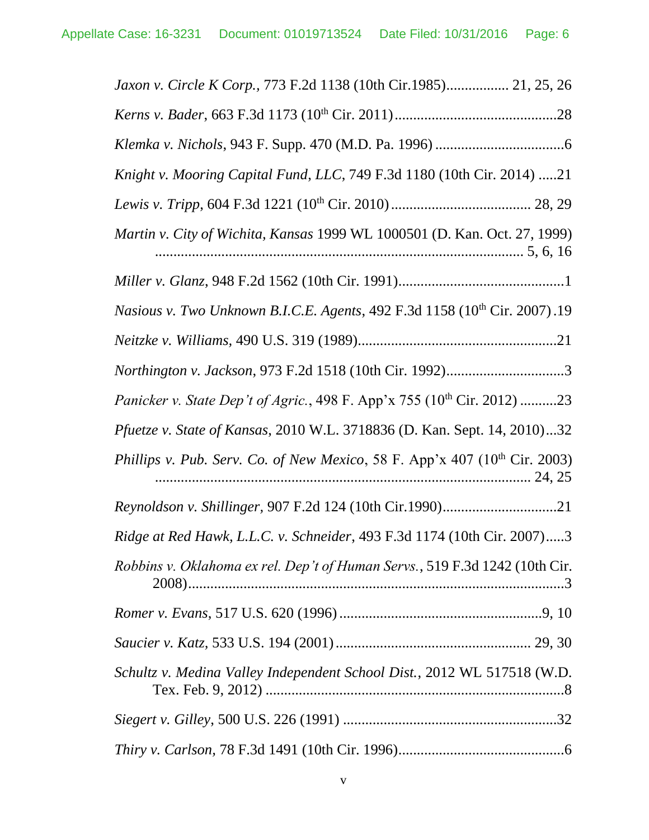| Jaxon v. Circle K Corp., 773 F.2d 1138 (10th Cir.1985) 21, 25, 26                      |
|----------------------------------------------------------------------------------------|
|                                                                                        |
|                                                                                        |
| Knight v. Mooring Capital Fund, LLC, 749 F.3d 1180 (10th Cir. 2014) 21                 |
|                                                                                        |
| Martin v. City of Wichita, Kansas 1999 WL 1000501 (D. Kan. Oct. 27, 1999)              |
|                                                                                        |
| Nasious v. Two Unknown B.I.C.E. Agents, 492 F.3d 1158 (10th Cir. 2007).19              |
|                                                                                        |
|                                                                                        |
| Panicker v. State Dep't of Agric., 498 F. App'x 755 (10 <sup>th</sup> Cir. 2012) 23    |
| Pfuetze v. State of Kansas, 2010 W.L. 3718836 (D. Kan. Sept. 14, 2010)32               |
| Phillips v. Pub. Serv. Co. of New Mexico, 58 F. App'x 407 (10 <sup>th</sup> Cir. 2003) |
|                                                                                        |
| Ridge at Red Hawk, L.L.C. v. Schneider, 493 F.3d 1174 (10th Cir. 2007)3                |
| Robbins v. Oklahoma ex rel. Dep't of Human Servs., 519 F.3d 1242 (10th Cir.            |
|                                                                                        |
|                                                                                        |
| Schultz v. Medina Valley Independent School Dist., 2012 WL 517518 (W.D.                |
|                                                                                        |
|                                                                                        |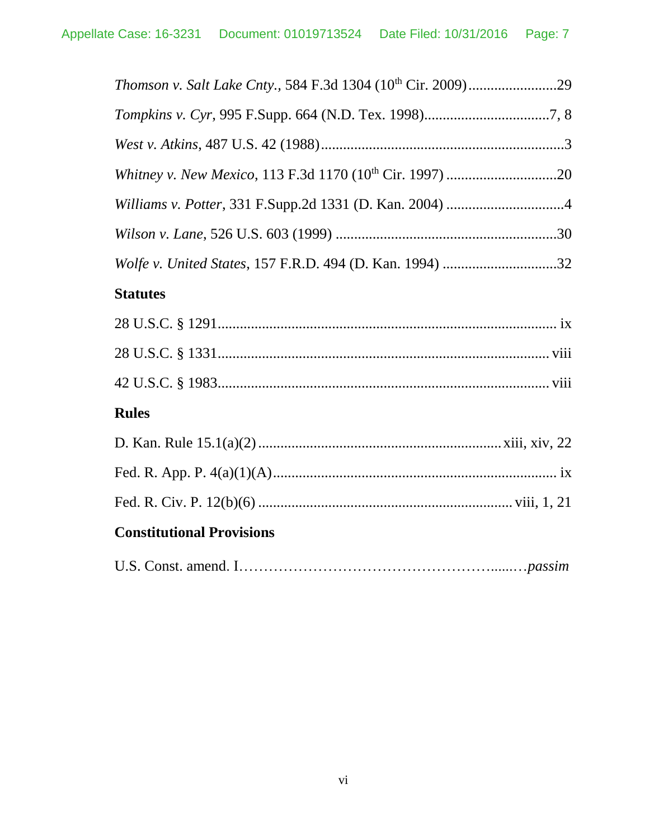| Wolfe v. United States, 157 F.R.D. 494 (D. Kan. 1994) 32 |
|----------------------------------------------------------|
| <b>Statutes</b>                                          |
|                                                          |
|                                                          |
|                                                          |
| <b>Rules</b>                                             |
|                                                          |
|                                                          |
|                                                          |
| <b>Constitutional Provisions</b>                         |
|                                                          |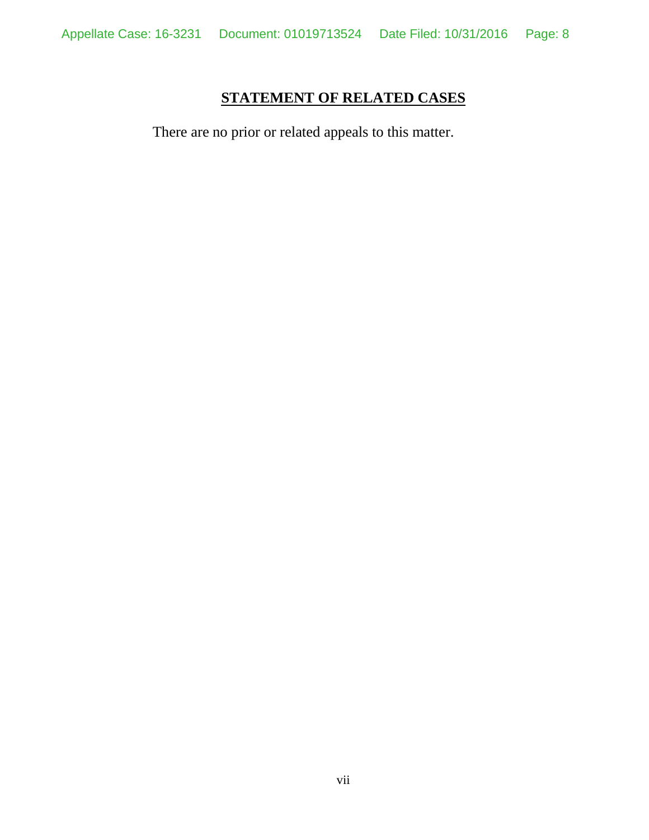# **STATEMENT OF RELATED CASES**

<span id="page-7-0"></span>There are no prior or related appeals to this matter.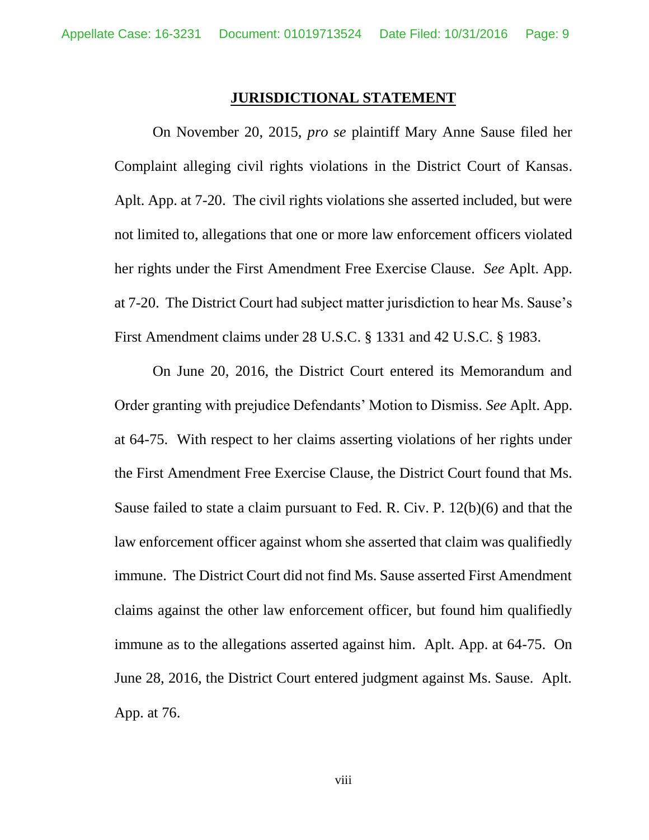#### **JURISDICTIONAL STATEMENT**

<span id="page-8-0"></span>On November 20, 2015, *pro se* plaintiff Mary Anne Sause filed her Complaint alleging civil rights violations in the District Court of Kansas. Aplt. App. at 7-20. The civil rights violations she asserted included, but were not limited to, allegations that one or more law enforcement officers violated her rights under the First Amendment Free Exercise Clause. *See* Aplt. App. at 7-20. The District Court had subject matter jurisdiction to hear Ms. Sause's First Amendment claims under 28 U.S.C. § 1331 and 42 U.S.C. § 1983.

On June 20, 2016, the District Court entered its Memorandum and Order granting with prejudice Defendants' Motion to Dismiss. *See* Aplt. App. at 64-75. With respect to her claims asserting violations of her rights under the First Amendment Free Exercise Clause, the District Court found that Ms. Sause failed to state a claim pursuant to Fed. R. Civ. P. 12(b)(6) and that the law enforcement officer against whom she asserted that claim was qualifiedly immune. The District Court did not find Ms. Sause asserted First Amendment claims against the other law enforcement officer, but found him qualifiedly immune as to the allegations asserted against him. Aplt. App. at 64-75. On June 28, 2016, the District Court entered judgment against Ms. Sause. Aplt. App. at 76.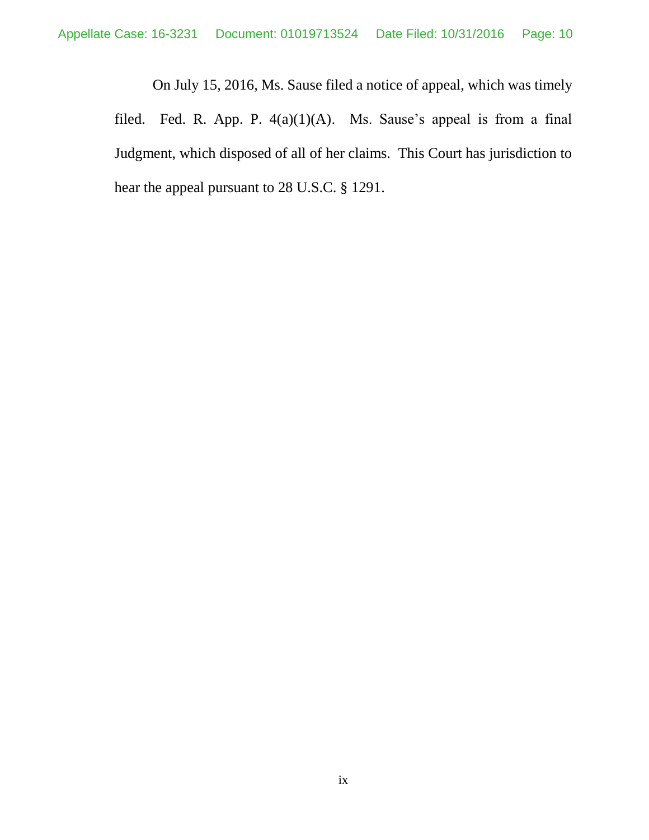On July 15, 2016, Ms. Sause filed a notice of appeal, which was timely filed. Fed. R. App. P. 4(a)(1)(A). Ms. Sause's appeal is from a final Judgment, which disposed of all of her claims. This Court has jurisdiction to hear the appeal pursuant to 28 U.S.C. § 1291.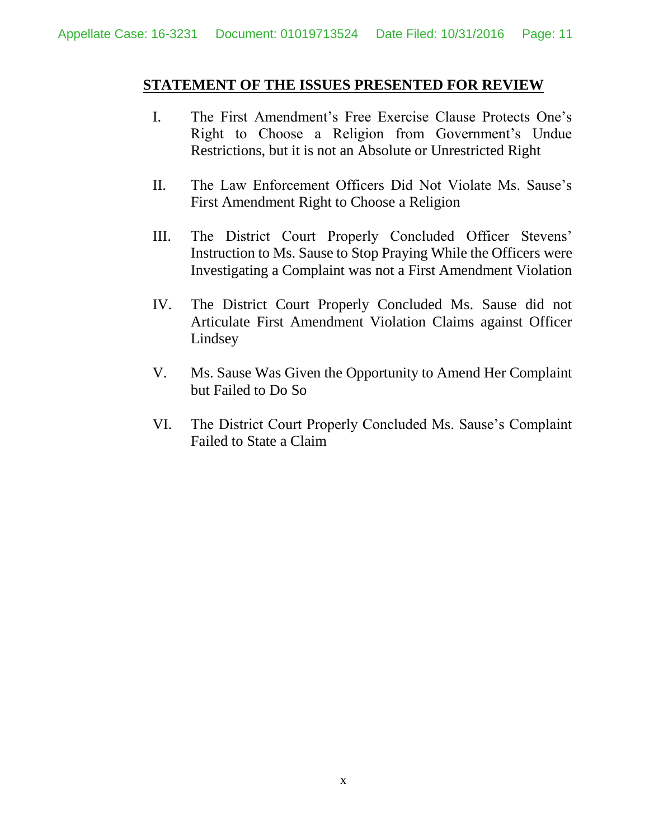### <span id="page-10-0"></span>**STATEMENT OF THE ISSUES PRESENTED FOR REVIEW**

- I. The First Amendment's Free Exercise Clause Protects One's Right to Choose a Religion from Government's Undue Restrictions, but it is not an Absolute or Unrestricted Right
- II. The Law Enforcement Officers Did Not Violate Ms. Sause's First Amendment Right to Choose a Religion
- III. The District Court Properly Concluded Officer Stevens' Instruction to Ms. Sause to Stop Praying While the Officers were Investigating a Complaint was not a First Amendment Violation
- IV. The District Court Properly Concluded Ms. Sause did not Articulate First Amendment Violation Claims against Officer Lindsey
- V. Ms. Sause Was Given the Opportunity to Amend Her Complaint but Failed to Do So
- VI. The District Court Properly Concluded Ms. Sause's Complaint Failed to State a Claim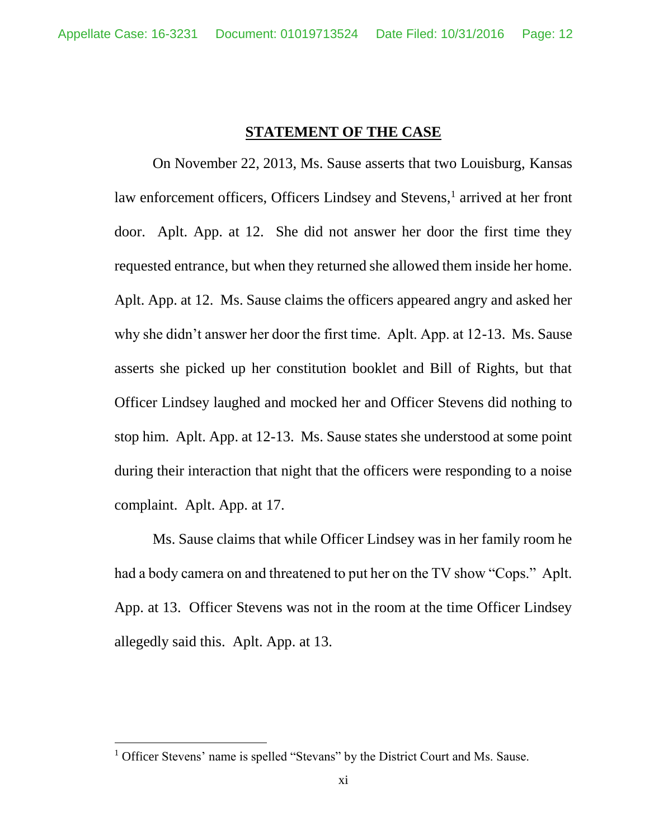### **STATEMENT OF THE CASE**

<span id="page-11-0"></span>On November 22, 2013, Ms. Sause asserts that two Louisburg, Kansas law enforcement officers, Officers Lindsey and Stevens,<sup>1</sup> arrived at her front door. Aplt. App. at 12. She did not answer her door the first time they requested entrance, but when they returned she allowed them inside her home. Aplt. App. at 12. Ms. Sause claims the officers appeared angry and asked her why she didn't answer her door the first time. Aplt. App. at 12-13. Ms. Sause asserts she picked up her constitution booklet and Bill of Rights, but that Officer Lindsey laughed and mocked her and Officer Stevens did nothing to stop him. Aplt. App. at 12-13. Ms. Sause states she understood at some point during their interaction that night that the officers were responding to a noise complaint. Aplt. App. at 17.

Ms. Sause claims that while Officer Lindsey was in her family room he had a body camera on and threatened to put her on the TV show "Cops." Aplt. App. at 13. Officer Stevens was not in the room at the time Officer Lindsey allegedly said this. Aplt. App. at 13.

 $\overline{a}$ 

<sup>&</sup>lt;sup>1</sup> Officer Stevens' name is spelled "Stevans" by the District Court and Ms. Sause.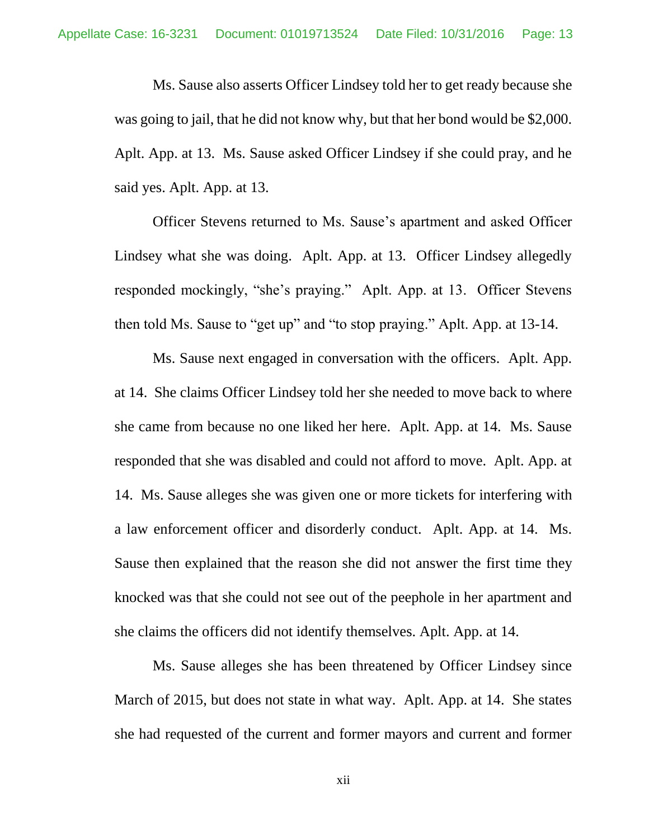Ms. Sause also asserts Officer Lindsey told her to get ready because she was going to jail, that he did not know why, but that her bond would be \$2,000. Aplt. App. at 13. Ms. Sause asked Officer Lindsey if she could pray, and he said yes. Aplt. App. at 13.

Officer Stevens returned to Ms. Sause's apartment and asked Officer Lindsey what she was doing. Aplt. App. at 13. Officer Lindsey allegedly responded mockingly, "she's praying." Aplt. App. at 13. Officer Stevens then told Ms. Sause to "get up" and "to stop praying." Aplt. App. at 13-14.

Ms. Sause next engaged in conversation with the officers. Aplt. App. at 14. She claims Officer Lindsey told her she needed to move back to where she came from because no one liked her here. Aplt. App. at 14. Ms. Sause responded that she was disabled and could not afford to move. Aplt. App. at 14. Ms. Sause alleges she was given one or more tickets for interfering with a law enforcement officer and disorderly conduct. Aplt. App. at 14. Ms. Sause then explained that the reason she did not answer the first time they knocked was that she could not see out of the peephole in her apartment and she claims the officers did not identify themselves. Aplt. App. at 14.

Ms. Sause alleges she has been threatened by Officer Lindsey since March of 2015, but does not state in what way. Aplt. App. at 14. She states she had requested of the current and former mayors and current and former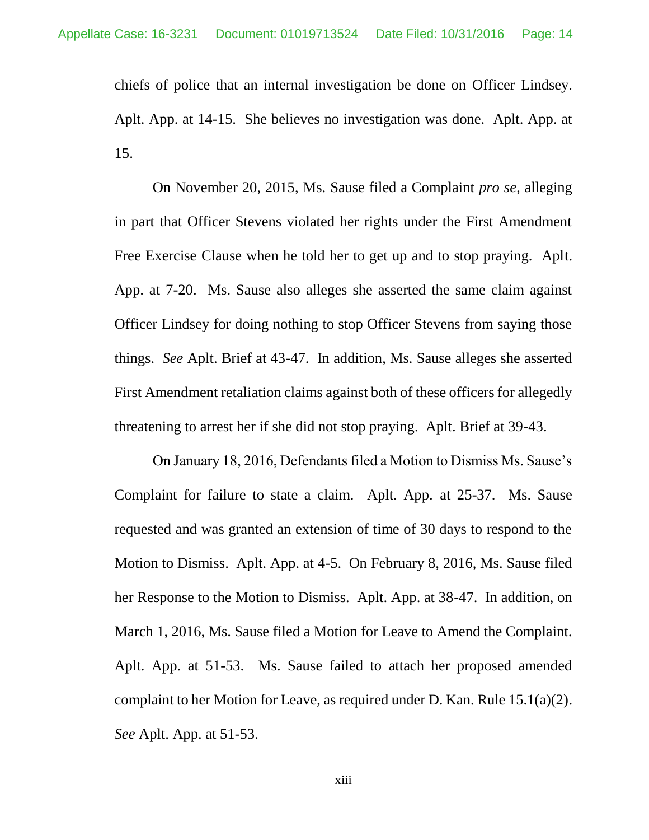chiefs of police that an internal investigation be done on Officer Lindsey. Aplt. App. at 14-15. She believes no investigation was done. Aplt. App. at 15.

On November 20, 2015, Ms. Sause filed a Complaint *pro se*, alleging in part that Officer Stevens violated her rights under the First Amendment Free Exercise Clause when he told her to get up and to stop praying. Aplt. App. at 7-20. Ms. Sause also alleges she asserted the same claim against Officer Lindsey for doing nothing to stop Officer Stevens from saying those things. *See* Aplt. Brief at 43-47. In addition, Ms. Sause alleges she asserted First Amendment retaliation claims against both of these officers for allegedly threatening to arrest her if she did not stop praying. Aplt. Brief at 39-43.

On January 18, 2016, Defendants filed a Motion to Dismiss Ms. Sause's Complaint for failure to state a claim. Aplt. App. at 25-37. Ms. Sause requested and was granted an extension of time of 30 days to respond to the Motion to Dismiss. Aplt. App. at 4-5. On February 8, 2016, Ms. Sause filed her Response to the Motion to Dismiss. Aplt. App. at 38-47. In addition, on March 1, 2016, Ms. Sause filed a Motion for Leave to Amend the Complaint. Aplt. App. at 51-53. Ms. Sause failed to attach her proposed amended complaint to her Motion for Leave, as required under D. Kan. Rule 15.1(a)(2). *See* Aplt. App. at 51-53.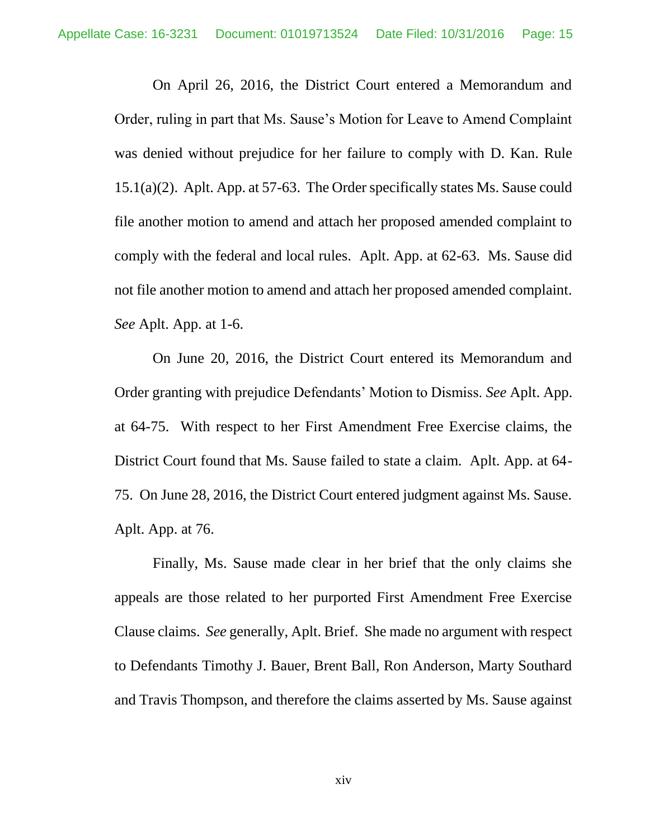On April 26, 2016, the District Court entered a Memorandum and Order, ruling in part that Ms. Sause's Motion for Leave to Amend Complaint was denied without prejudice for her failure to comply with D. Kan. Rule 15.1(a)(2). Aplt. App. at 57-63. The Order specifically states Ms. Sause could file another motion to amend and attach her proposed amended complaint to comply with the federal and local rules. Aplt. App. at 62-63. Ms. Sause did not file another motion to amend and attach her proposed amended complaint. *See* Aplt. App. at 1-6.

On June 20, 2016, the District Court entered its Memorandum and Order granting with prejudice Defendants' Motion to Dismiss. *See* Aplt. App. at 64-75. With respect to her First Amendment Free Exercise claims, the District Court found that Ms. Sause failed to state a claim. Aplt. App. at 64- 75. On June 28, 2016, the District Court entered judgment against Ms. Sause. Aplt. App. at 76.

Finally, Ms. Sause made clear in her brief that the only claims she appeals are those related to her purported First Amendment Free Exercise Clause claims. *See* generally, Aplt. Brief. She made no argument with respect to Defendants Timothy J. Bauer, Brent Ball, Ron Anderson, Marty Southard and Travis Thompson, and therefore the claims asserted by Ms. Sause against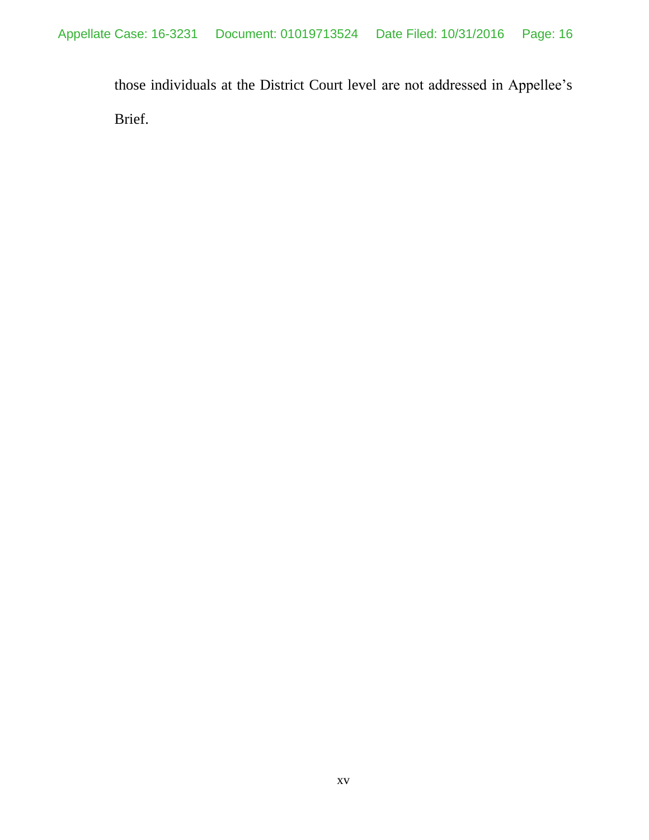those individuals at the District Court level are not addressed in Appellee's Brief.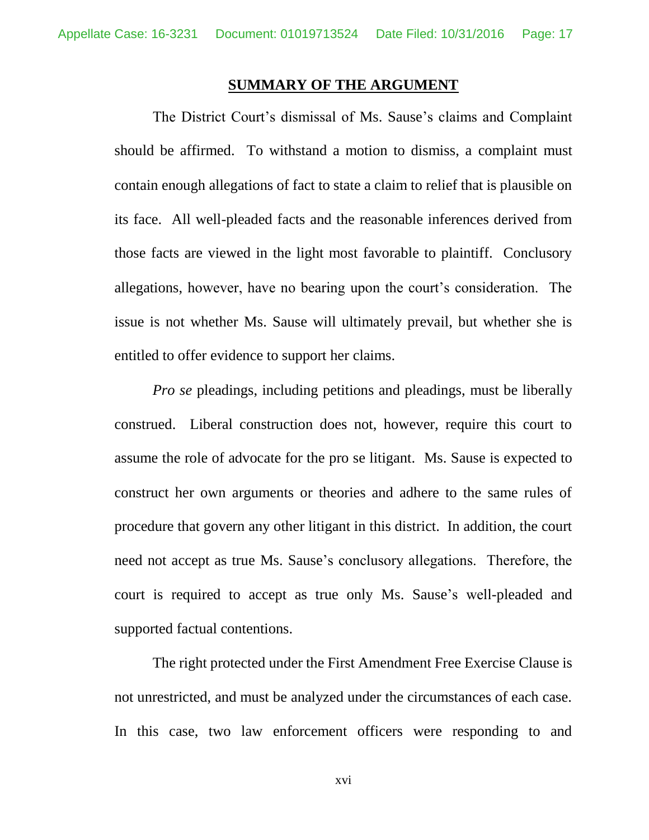#### **SUMMARY OF THE ARGUMENT**

<span id="page-16-0"></span>The District Court's dismissal of Ms. Sause's claims and Complaint should be affirmed. To withstand a motion to dismiss, a complaint must contain enough allegations of fact to state a claim to relief that is plausible on its face. All well-pleaded facts and the reasonable inferences derived from those facts are viewed in the light most favorable to plaintiff. Conclusory allegations, however, have no bearing upon the court's consideration. The issue is not whether Ms. Sause will ultimately prevail, but whether she is entitled to offer evidence to support her claims.

*Pro se* pleadings, including petitions and pleadings, must be liberally construed. Liberal construction does not, however, require this court to assume the role of advocate for the pro se litigant. Ms. Sause is expected to construct her own arguments or theories and adhere to the same rules of procedure that govern any other litigant in this district. In addition, the court need not accept as true Ms. Sause's conclusory allegations. Therefore, the court is required to accept as true only Ms. Sause's well-pleaded and supported factual contentions.

The right protected under the First Amendment Free Exercise Clause is not unrestricted, and must be analyzed under the circumstances of each case. In this case, two law enforcement officers were responding to and

xvi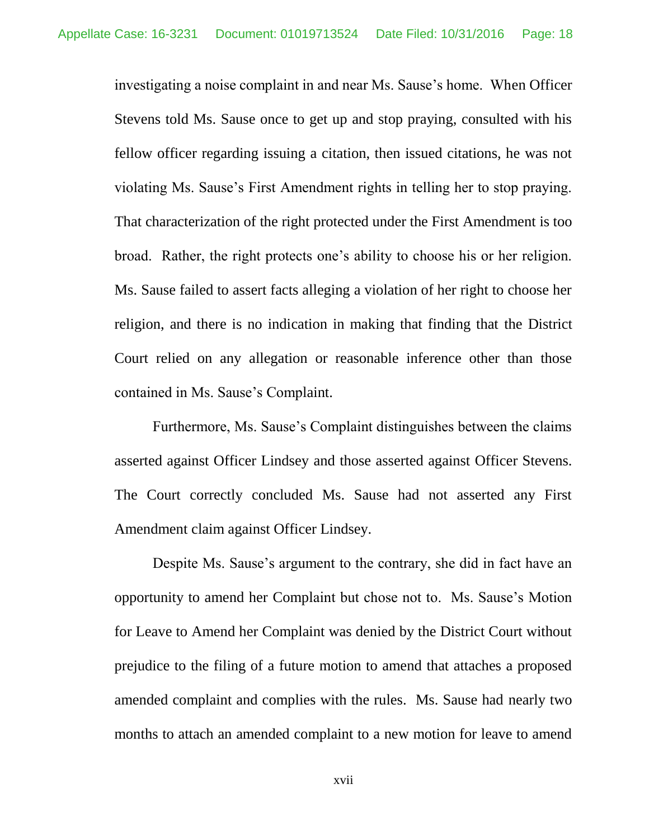investigating a noise complaint in and near Ms. Sause's home. When Officer Stevens told Ms. Sause once to get up and stop praying, consulted with his fellow officer regarding issuing a citation, then issued citations, he was not violating Ms. Sause's First Amendment rights in telling her to stop praying. That characterization of the right protected under the First Amendment is too broad. Rather, the right protects one's ability to choose his or her religion. Ms. Sause failed to assert facts alleging a violation of her right to choose her religion, and there is no indication in making that finding that the District Court relied on any allegation or reasonable inference other than those contained in Ms. Sause's Complaint.

Furthermore, Ms. Sause's Complaint distinguishes between the claims asserted against Officer Lindsey and those asserted against Officer Stevens. The Court correctly concluded Ms. Sause had not asserted any First Amendment claim against Officer Lindsey.

Despite Ms. Sause's argument to the contrary, she did in fact have an opportunity to amend her Complaint but chose not to. Ms. Sause's Motion for Leave to Amend her Complaint was denied by the District Court without prejudice to the filing of a future motion to amend that attaches a proposed amended complaint and complies with the rules. Ms. Sause had nearly two months to attach an amended complaint to a new motion for leave to amend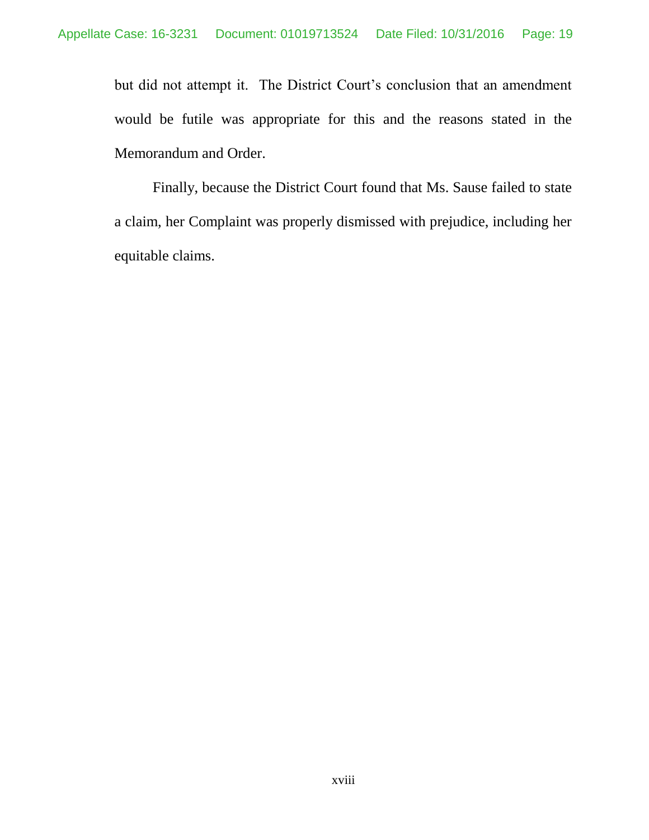but did not attempt it. The District Court's conclusion that an amendment would be futile was appropriate for this and the reasons stated in the Memorandum and Order.

Finally, because the District Court found that Ms. Sause failed to state a claim, her Complaint was properly dismissed with prejudice, including her equitable claims.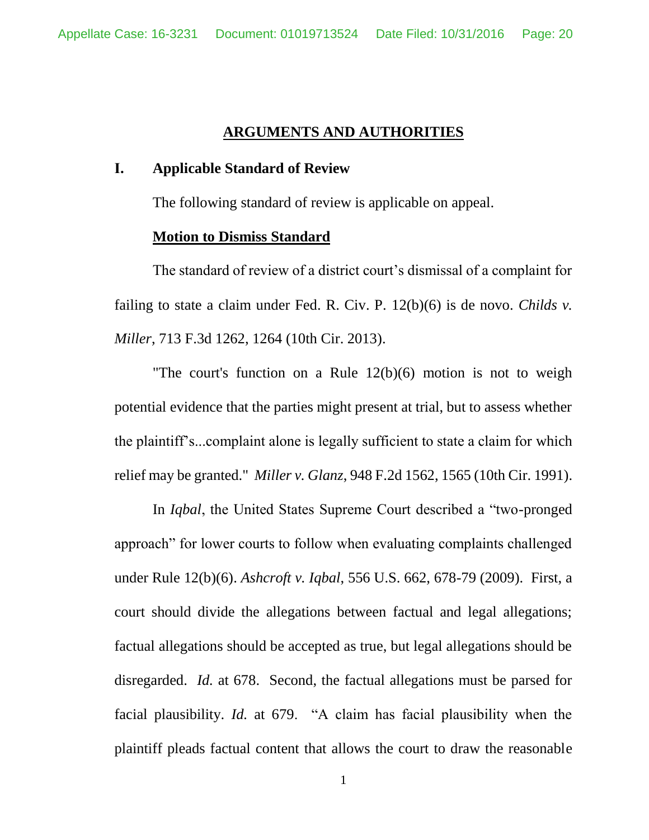### **ARGUMENTS AND AUTHORITIES**

#### <span id="page-19-1"></span><span id="page-19-0"></span>**I. Applicable Standard of Review**

The following standard of review is applicable on appeal.

#### **Motion to Dismiss Standard**

<span id="page-19-2"></span>The standard of review of a district court's dismissal of a complaint for failing to state a claim under Fed. R. Civ. P. 12(b)(6) is de novo. *Childs v. Miller*, 713 F.3d 1262, 1264 (10th Cir. 2013).

"The court's function on a Rule 12(b)(6) motion is not to weigh potential evidence that the parties might present at trial, but to assess whether the plaintiff's...complaint alone is legally sufficient to state a claim for which relief may be granted." *Miller v. Glanz*, 948 F.2d 1562, 1565 (10th Cir. 1991).

In *Iqbal*, the United States Supreme Court described a "two-pronged approach" for lower courts to follow when evaluating complaints challenged under Rule 12(b)(6). *Ashcroft v. Iqbal*, 556 U.S. 662, 678-79 (2009). First, a court should divide the allegations between factual and legal allegations; factual allegations should be accepted as true, but legal allegations should be disregarded. *Id.* at 678. Second, the factual allegations must be parsed for facial plausibility. *Id.* at 679. "A claim has facial plausibility when the plaintiff pleads factual content that allows the court to draw the reasonable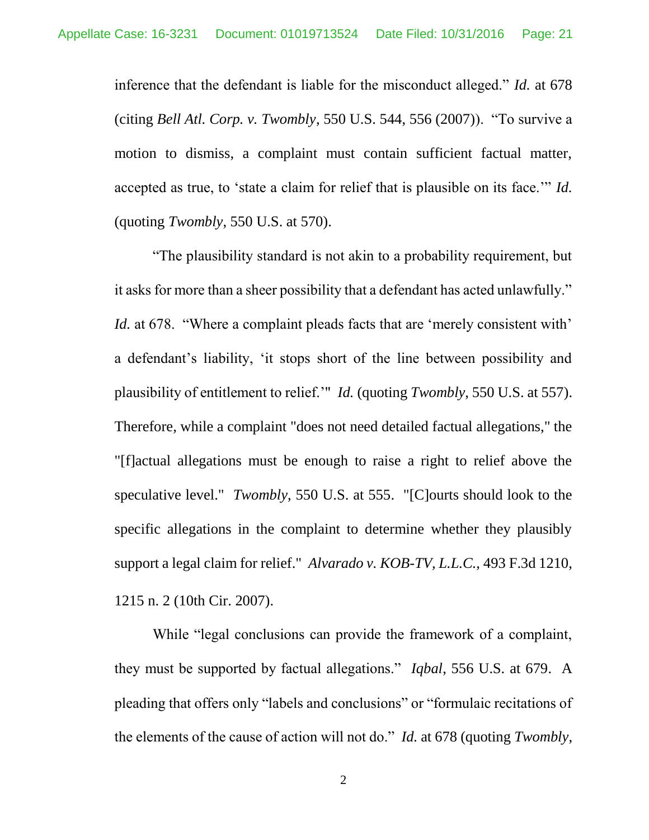inference that the defendant is liable for the misconduct alleged." *Id.* at 678 (citing *Bell Atl. Corp. v. Twombly*, 550 U.S. 544, 556 (2007)). "To survive a motion to dismiss, a complaint must contain sufficient factual matter, accepted as true, to 'state a claim for relief that is plausible on its face.'" *Id.* (quoting *Twombly*, 550 U.S. at 570).

"The plausibility standard is not akin to a probability requirement, but it asks for more than a sheer possibility that a defendant has acted unlawfully." *Id.* at 678. "Where a complaint pleads facts that are 'merely consistent with' a defendant's liability, 'it stops short of the line between possibility and plausibility of entitlement to relief.'" *Id.* (quoting *Twombly*, 550 U.S. at 557). Therefore, while a complaint "does not need detailed factual allegations," the "[f]actual allegations must be enough to raise a right to relief above the speculative level." *Twombly*, 550 U.S. at 555. "[C]ourts should look to the specific allegations in the complaint to determine whether they plausibly support a legal claim for relief." *Alvarado v. KOB-TV, L.L.C.*, 493 F.3d 1210, 1215 n. 2 (10th Cir. 2007).

While "legal conclusions can provide the framework of a complaint, they must be supported by factual allegations." *Iqbal*, 556 U.S. at 679. A pleading that offers only "labels and conclusions" or "formulaic recitations of the elements of the cause of action will not do." *Id.* at 678 (quoting *Twombly*,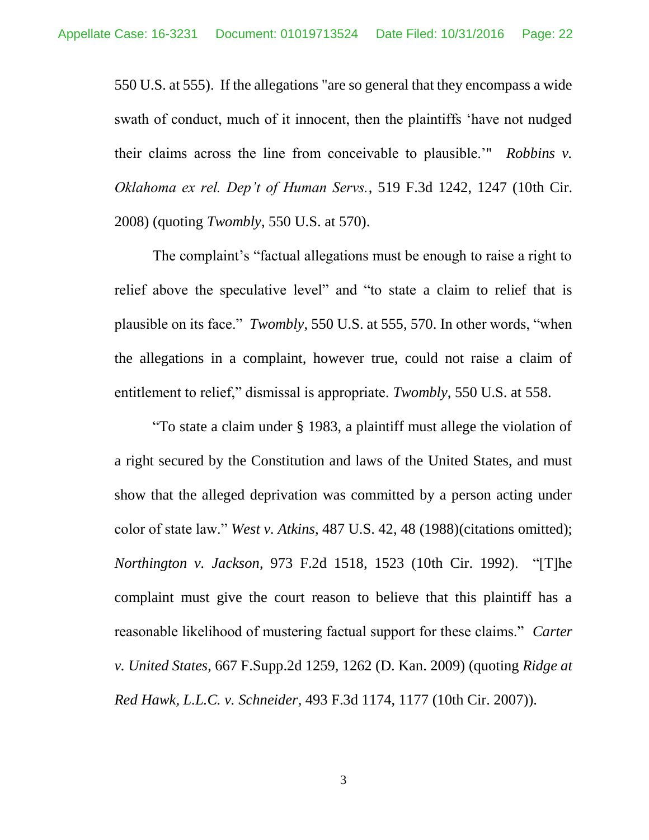550 U.S. at 555). If the allegations "are so general that they encompass a wide swath of conduct, much of it innocent, then the plaintiffs 'have not nudged their claims across the line from conceivable to plausible.'" *Robbins v. Oklahoma ex rel. Dep't of Human Servs.*, 519 F.3d 1242, 1247 (10th Cir. 2008) (quoting *Twombly*, 550 U.S. at 570).

The complaint's "factual allegations must be enough to raise a right to relief above the speculative level" and "to state a claim to relief that is plausible on its face." *Twombly*, 550 U.S. at 555, 570. In other words, "when the allegations in a complaint, however true, could not raise a claim of entitlement to relief," dismissal is appropriate. *Twombly*, 550 U.S. at 558.

"To state a claim under § 1983, a plaintiff must allege the violation of a right secured by the Constitution and laws of the United States, and must show that the alleged deprivation was committed by a person acting under color of state law." *West v. Atkins*, 487 U.S. 42, 48 (1988)(citations omitted); *Northington v. Jackson*, 973 F.2d 1518, 1523 (10th Cir. 1992). "[T]he complaint must give the court reason to believe that this plaintiff has a reasonable likelihood of mustering factual support for these claims." *Carter v. United States*, 667 F.Supp.2d 1259, 1262 (D. Kan. 2009) (quoting *Ridge at Red Hawk, L.L.C. v. Schneider*, 493 F.3d 1174, 1177 (10th Cir. 2007)).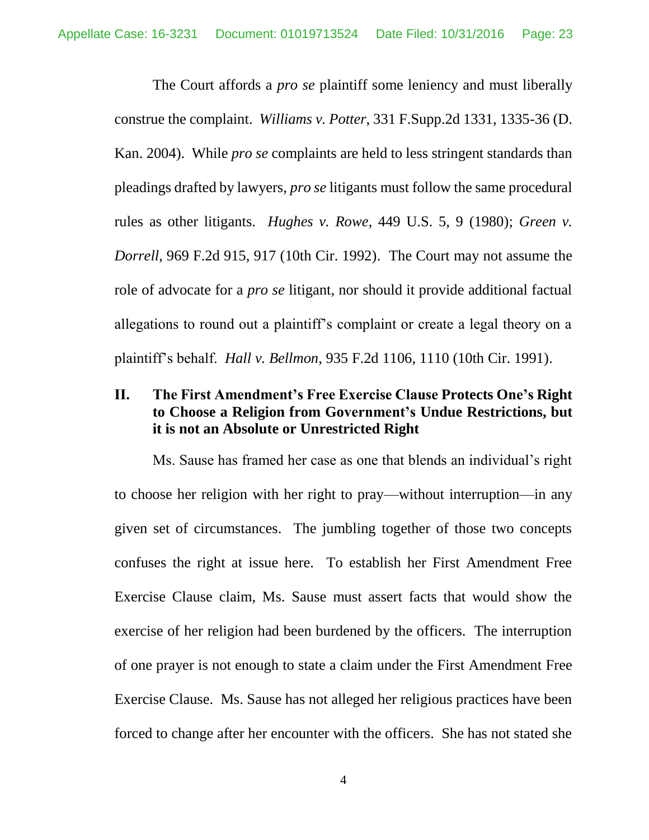The Court affords a *pro se* plaintiff some leniency and must liberally construe the complaint. *Williams v. Potter*, 331 F.Supp.2d 1331, 1335-36 (D. Kan. 2004). While *pro se* complaints are held to less stringent standards than pleadings drafted by lawyers, *pro se* litigants must follow the same procedural rules as other litigants. *Hughes v. Rowe*, 449 U.S. 5, 9 (1980); *Green v. Dorrell*, 969 F.2d 915, 917 (10th Cir. 1992). The Court may not assume the role of advocate for a *pro se* litigant, nor should it provide additional factual allegations to round out a plaintiff's complaint or create a legal theory on a plaintiff's behalf. *Hall v. Bellmon*, 935 F.2d 1106, 1110 (10th Cir. 1991).

# **II. The First Amendment's Free Exercise Clause Protects One's Right to Choose a Religion from Government's Undue Restrictions, but it is not an Absolute or Unrestricted Right**

Ms. Sause has framed her case as one that blends an individual's right to choose her religion with her right to pray—without interruption—in any given set of circumstances. The jumbling together of those two concepts confuses the right at issue here. To establish her First Amendment Free Exercise Clause claim, Ms. Sause must assert facts that would show the exercise of her religion had been burdened by the officers. The interruption of one prayer is not enough to state a claim under the First Amendment Free Exercise Clause. Ms. Sause has not alleged her religious practices have been forced to change after her encounter with the officers. She has not stated she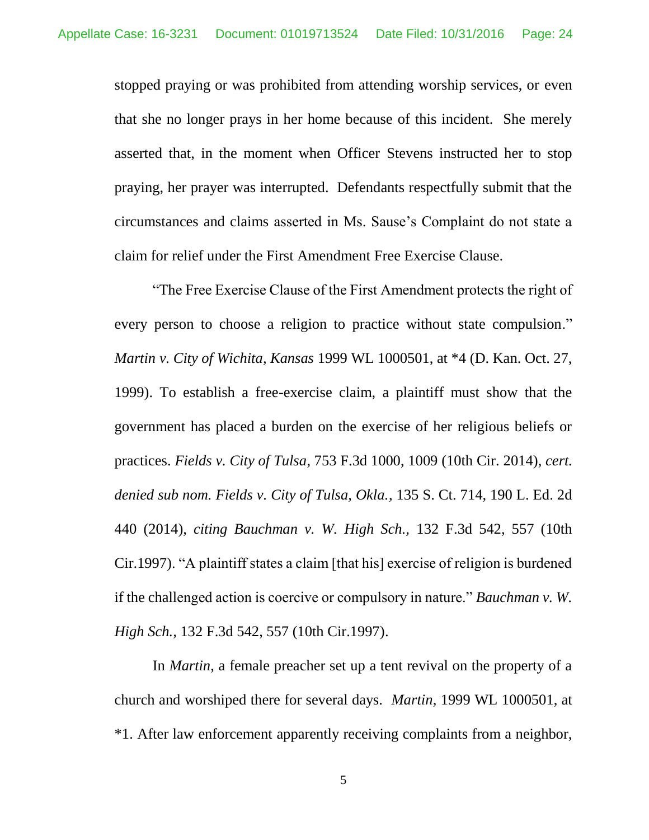stopped praying or was prohibited from attending worship services, or even that she no longer prays in her home because of this incident. She merely asserted that, in the moment when Officer Stevens instructed her to stop praying, her prayer was interrupted. Defendants respectfully submit that the circumstances and claims asserted in Ms. Sause's Complaint do not state a claim for relief under the First Amendment Free Exercise Clause.

"The Free Exercise Clause of the First Amendment protects the right of every person to choose a religion to practice without state compulsion." *Martin v. City of Wichita, Kansas* 1999 WL 1000501, at \*4 (D. Kan. Oct. 27, 1999). To establish a free-exercise claim, a plaintiff must show that the government has placed a burden on the exercise of her religious beliefs or practices. *Fields v. City of Tulsa*, 753 F.3d 1000, 1009 (10th Cir. 2014), *cert. denied sub nom. Fields v. City of Tulsa, Okla.*, 135 S. Ct. 714, 190 L. Ed. 2d 440 (2014), *citing Bauchman v. W. High Sch.,* 132 F.3d 542, 557 (10th Cir.1997). "A plaintiff states a claim [that his] exercise of religion is burdened if the challenged action is coercive or compulsory in nature." *Bauchman v. W. High Sch.,* 132 F.3d 542, 557 (10th Cir.1997).

In *Martin*, a female preacher set up a tent revival on the property of a church and worshiped there for several days. *Martin*, 1999 WL 1000501, at \*1. After law enforcement apparently receiving complaints from a neighbor,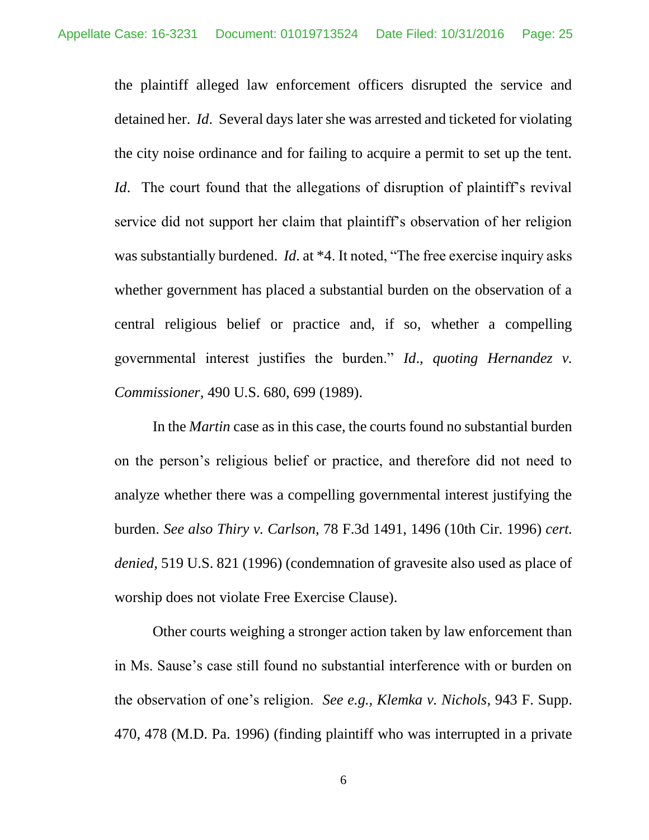the plaintiff alleged law enforcement officers disrupted the service and detained her. *Id*. Several days later she was arrested and ticketed for violating the city noise ordinance and for failing to acquire a permit to set up the tent. *Id.* The court found that the allegations of disruption of plaintiff's revival service did not support her claim that plaintiff's observation of her religion was substantially burdened. *Id*. at \*4. It noted, "The free exercise inquiry asks whether government has placed a substantial burden on the observation of a central religious belief or practice and, if so, whether a compelling governmental interest justifies the burden." *Id*., *quoting Hernandez v. Commissioner,* 490 U.S. 680, 699 (1989).

In the *Martin* case as in this case, the courts found no substantial burden on the person's religious belief or practice, and therefore did not need to analyze whether there was a compelling governmental interest justifying the burden. *See also Thiry v. Carlson,* 78 F.3d 1491, 1496 (10th Cir. 1996) *cert. denied,* 519 U.S. 821 (1996) (condemnation of gravesite also used as place of worship does not violate Free Exercise Clause).

Other courts weighing a stronger action taken by law enforcement than in Ms. Sause's case still found no substantial interference with or burden on the observation of one's religion. *See e.g., Klemka v. Nichols*, 943 F. Supp. 470, 478 (M.D. Pa. 1996) (finding plaintiff who was interrupted in a private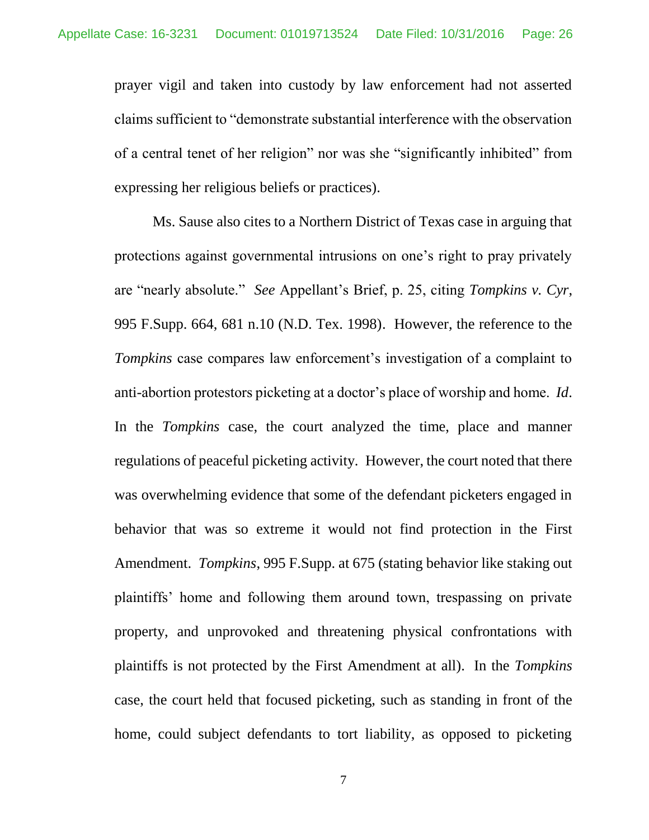prayer vigil and taken into custody by law enforcement had not asserted claims sufficient to "demonstrate substantial interference with the observation of a central tenet of her religion" nor was she "significantly inhibited" from expressing her religious beliefs or practices).

Ms. Sause also cites to a Northern District of Texas case in arguing that protections against governmental intrusions on one's right to pray privately are "nearly absolute." *See* Appellant's Brief, p. 25, citing *Tompkins v. Cyr*, 995 F.Supp. 664, 681 n.10 (N.D. Tex. 1998). However, the reference to the *Tompkins* case compares law enforcement's investigation of a complaint to anti-abortion protestors picketing at a doctor's place of worship and home. *Id*. In the *Tompkins* case, the court analyzed the time, place and manner regulations of peaceful picketing activity. However, the court noted that there was overwhelming evidence that some of the defendant picketers engaged in behavior that was so extreme it would not find protection in the First Amendment. *Tompkins*, 995 F.Supp. at 675 (stating behavior like staking out plaintiffs' home and following them around town, trespassing on private property, and unprovoked and threatening physical confrontations with plaintiffs is not protected by the First Amendment at all). In the *Tompkins* case, the court held that focused picketing, such as standing in front of the home, could subject defendants to tort liability, as opposed to picketing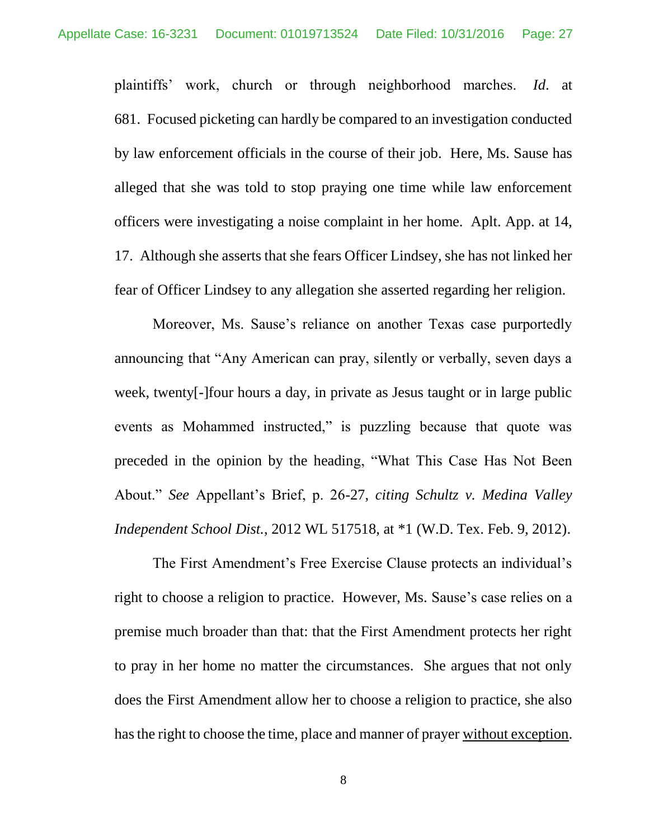plaintiffs' work, church or through neighborhood marches. *Id*. at 681. Focused picketing can hardly be compared to an investigation conducted by law enforcement officials in the course of their job. Here, Ms. Sause has alleged that she was told to stop praying one time while law enforcement officers were investigating a noise complaint in her home. Aplt. App. at 14, 17. Although she asserts that she fears Officer Lindsey, she has not linked her fear of Officer Lindsey to any allegation she asserted regarding her religion.

Moreover, Ms. Sause's reliance on another Texas case purportedly announcing that "Any American can pray, silently or verbally, seven days a week, twenty[-]four hours a day, in private as Jesus taught or in large public events as Mohammed instructed," is puzzling because that quote was preceded in the opinion by the heading, "What This Case Has Not Been About." *See* Appellant's Brief, p. 26-27, *citing Schultz v. Medina Valley Independent School Dist.*, 2012 WL 517518, at \*1 (W.D. Tex. Feb. 9, 2012).

The First Amendment's Free Exercise Clause protects an individual's right to choose a religion to practice. However, Ms. Sause's case relies on a premise much broader than that: that the First Amendment protects her right to pray in her home no matter the circumstances. She argues that not only does the First Amendment allow her to choose a religion to practice, she also has the right to choose the time, place and manner of prayer without exception.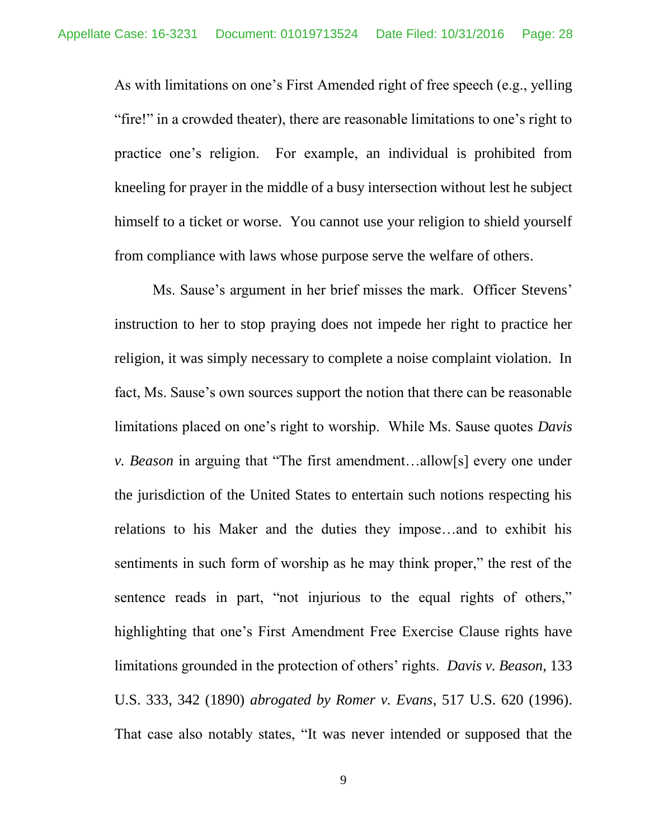As with limitations on one's First Amended right of free speech (e.g., yelling "fire!" in a crowded theater), there are reasonable limitations to one's right to practice one's religion. For example, an individual is prohibited from kneeling for prayer in the middle of a busy intersection without lest he subject himself to a ticket or worse. You cannot use your religion to shield yourself from compliance with laws whose purpose serve the welfare of others.

Ms. Sause's argument in her brief misses the mark. Officer Stevens' instruction to her to stop praying does not impede her right to practice her religion, it was simply necessary to complete a noise complaint violation. In fact, Ms. Sause's own sources support the notion that there can be reasonable limitations placed on one's right to worship. While Ms. Sause quotes *Davis v. Beason* in arguing that "The first amendment…allow[s] every one under the jurisdiction of the United States to entertain such notions respecting his relations to his Maker and the duties they impose…and to exhibit his sentiments in such form of worship as he may think proper," the rest of the sentence reads in part, "not injurious to the equal rights of others," highlighting that one's First Amendment Free Exercise Clause rights have limitations grounded in the protection of others' rights. *Davis v. Beason*, 133 U.S. 333, 342 (1890) *abrogated by Romer v. Evans*, 517 U.S. 620 (1996). That case also notably states, "It was never intended or supposed that the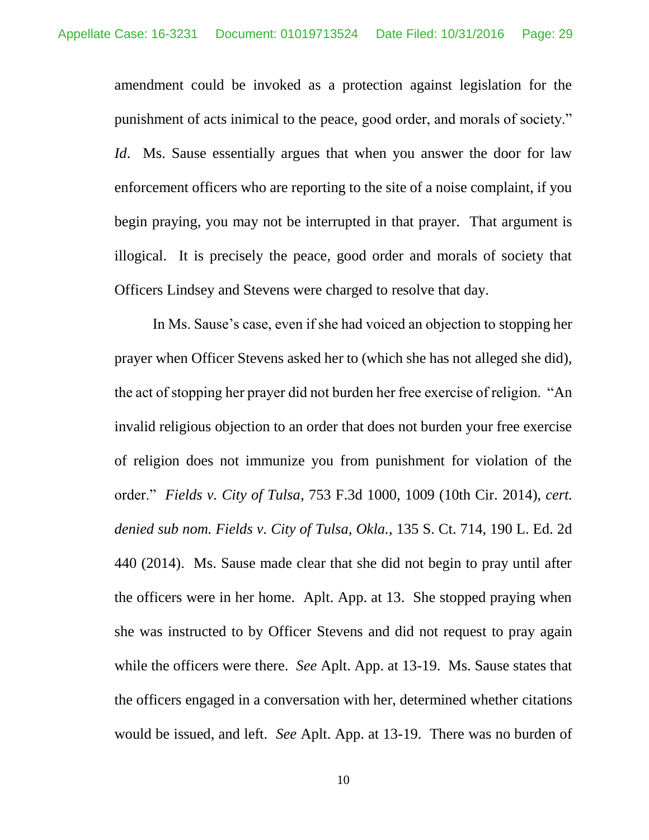amendment could be invoked as a protection against legislation for the punishment of acts inimical to the peace, good order, and morals of society." *Id*. Ms. Sause essentially argues that when you answer the door for law enforcement officers who are reporting to the site of a noise complaint, if you begin praying, you may not be interrupted in that prayer. That argument is illogical. It is precisely the peace, good order and morals of society that Officers Lindsey and Stevens were charged to resolve that day.

In Ms. Sause's case, even if she had voiced an objection to stopping her prayer when Officer Stevens asked her to (which she has not alleged she did), the act of stopping her prayer did not burden her free exercise of religion. "An invalid religious objection to an order that does not burden your free exercise of religion does not immunize you from punishment for violation of the order." *Fields v. City of Tulsa*, 753 F.3d 1000, 1009 (10th Cir. 2014), *cert. denied sub nom. Fields v. City of Tulsa, Okla.*, 135 S. Ct. 714, 190 L. Ed. 2d 440 (2014). Ms. Sause made clear that she did not begin to pray until after the officers were in her home. Aplt. App. at 13. She stopped praying when she was instructed to by Officer Stevens and did not request to pray again while the officers were there. *See* Aplt. App. at 13-19. Ms. Sause states that the officers engaged in a conversation with her, determined whether citations would be issued, and left. *See* Aplt. App. at 13-19. There was no burden of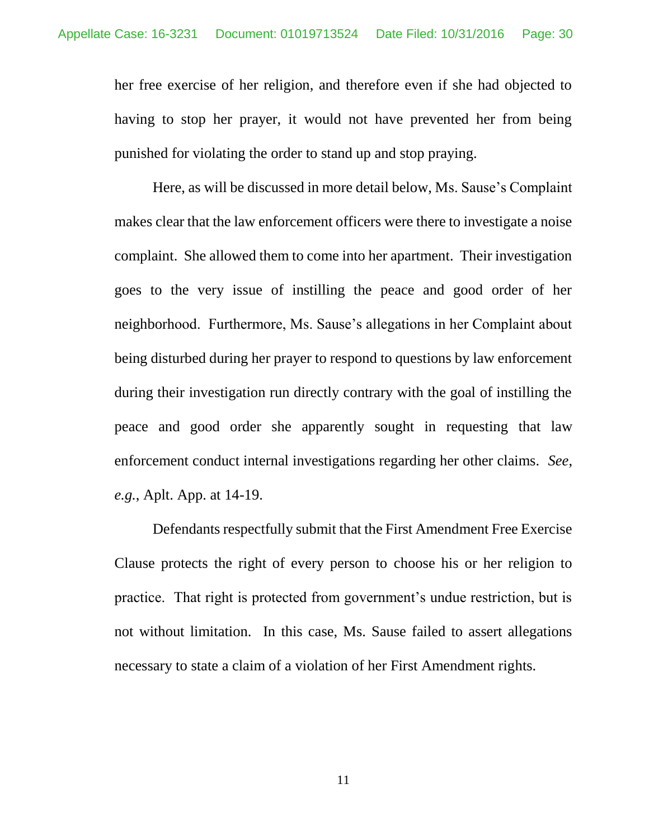her free exercise of her religion, and therefore even if she had objected to having to stop her prayer, it would not have prevented her from being punished for violating the order to stand up and stop praying.

Here, as will be discussed in more detail below, Ms. Sause's Complaint makes clear that the law enforcement officers were there to investigate a noise complaint. She allowed them to come into her apartment. Their investigation goes to the very issue of instilling the peace and good order of her neighborhood. Furthermore, Ms. Sause's allegations in her Complaint about being disturbed during her prayer to respond to questions by law enforcement during their investigation run directly contrary with the goal of instilling the peace and good order she apparently sought in requesting that law enforcement conduct internal investigations regarding her other claims. *See*, *e.g.*, Aplt. App. at 14-19.

Defendants respectfully submit that the First Amendment Free Exercise Clause protects the right of every person to choose his or her religion to practice. That right is protected from government's undue restriction, but is not without limitation. In this case, Ms. Sause failed to assert allegations necessary to state a claim of a violation of her First Amendment rights.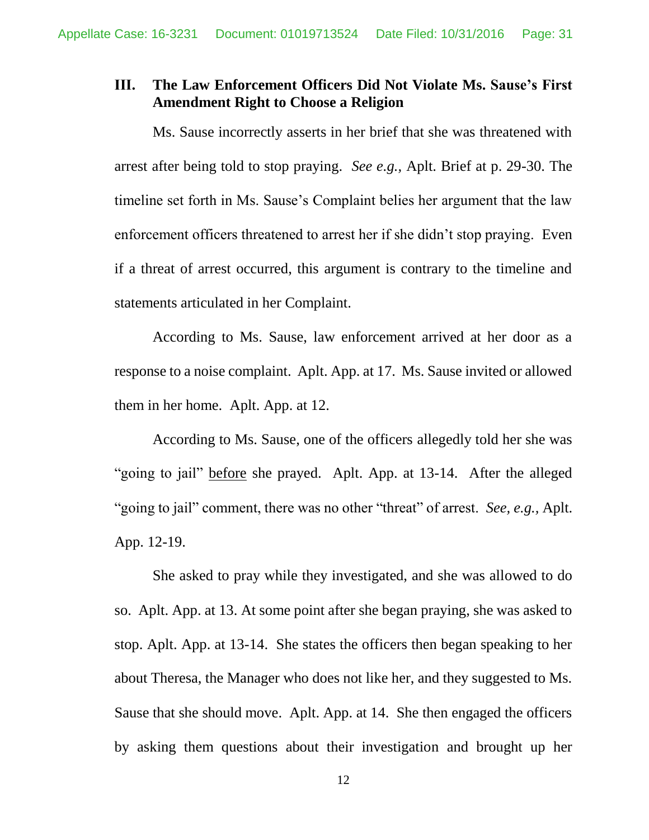## **III. The Law Enforcement Officers Did Not Violate Ms. Sause's First Amendment Right to Choose a Religion**

Ms. Sause incorrectly asserts in her brief that she was threatened with arrest after being told to stop praying. *See e.g.,* Aplt. Brief at p. 29-30. The timeline set forth in Ms. Sause's Complaint belies her argument that the law enforcement officers threatened to arrest her if she didn't stop praying. Even if a threat of arrest occurred, this argument is contrary to the timeline and statements articulated in her Complaint.

According to Ms. Sause, law enforcement arrived at her door as a response to a noise complaint. Aplt. App. at 17. Ms. Sause invited or allowed them in her home. Aplt. App. at 12.

According to Ms. Sause, one of the officers allegedly told her she was "going to jail" before she prayed. Aplt. App. at 13-14. After the alleged "going to jail" comment, there was no other "threat" of arrest. *See, e.g.,* Aplt. App. 12-19.

She asked to pray while they investigated, and she was allowed to do so. Aplt. App. at 13. At some point after she began praying, she was asked to stop. Aplt. App. at 13-14. She states the officers then began speaking to her about Theresa, the Manager who does not like her, and they suggested to Ms. Sause that she should move. Aplt. App. at 14. She then engaged the officers by asking them questions about their investigation and brought up her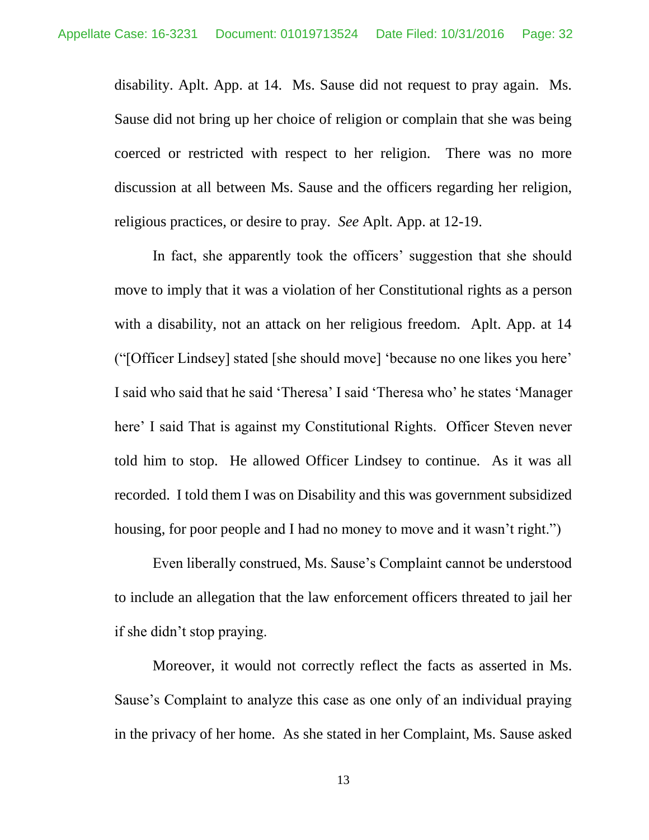disability. Aplt. App. at 14. Ms. Sause did not request to pray again. Ms. Sause did not bring up her choice of religion or complain that she was being coerced or restricted with respect to her religion. There was no more discussion at all between Ms. Sause and the officers regarding her religion, religious practices, or desire to pray. *See* Aplt. App. at 12-19.

In fact, she apparently took the officers' suggestion that she should move to imply that it was a violation of her Constitutional rights as a person with a disability, not an attack on her religious freedom. Aplt. App. at 14 ("[Officer Lindsey] stated [she should move] 'because no one likes you here' I said who said that he said 'Theresa' I said 'Theresa who' he states 'Manager here' I said That is against my Constitutional Rights. Officer Steven never told him to stop. He allowed Officer Lindsey to continue. As it was all recorded. I told them I was on Disability and this was government subsidized housing, for poor people and I had no money to move and it wasn't right.")

Even liberally construed, Ms. Sause's Complaint cannot be understood to include an allegation that the law enforcement officers threated to jail her if she didn't stop praying.

Moreover, it would not correctly reflect the facts as asserted in Ms. Sause's Complaint to analyze this case as one only of an individual praying in the privacy of her home. As she stated in her Complaint, Ms. Sause asked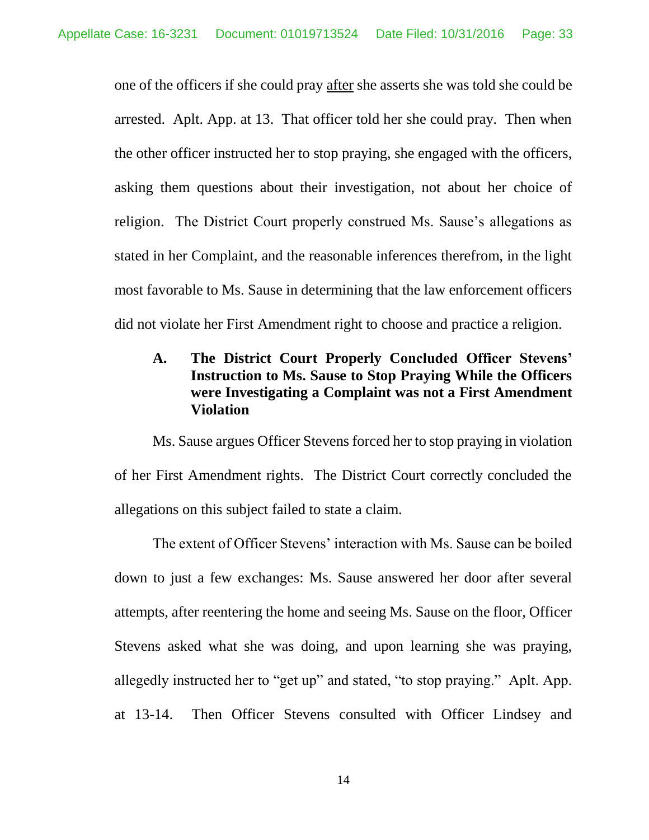one of the officers if she could pray after she asserts she was told she could be arrested. Aplt. App. at 13. That officer told her she could pray. Then when the other officer instructed her to stop praying, she engaged with the officers, asking them questions about their investigation, not about her choice of religion. The District Court properly construed Ms. Sause's allegations as stated in her Complaint, and the reasonable inferences therefrom, in the light most favorable to Ms. Sause in determining that the law enforcement officers did not violate her First Amendment right to choose and practice a religion.

# **A. The District Court Properly Concluded Officer Stevens' Instruction to Ms. Sause to Stop Praying While the Officers were Investigating a Complaint was not a First Amendment Violation**

Ms. Sause argues Officer Stevens forced her to stop praying in violation of her First Amendment rights. The District Court correctly concluded the allegations on this subject failed to state a claim.

The extent of Officer Stevens' interaction with Ms. Sause can be boiled down to just a few exchanges: Ms. Sause answered her door after several attempts, after reentering the home and seeing Ms. Sause on the floor, Officer Stevens asked what she was doing, and upon learning she was praying, allegedly instructed her to "get up" and stated, "to stop praying." Aplt. App. at 13-14. Then Officer Stevens consulted with Officer Lindsey and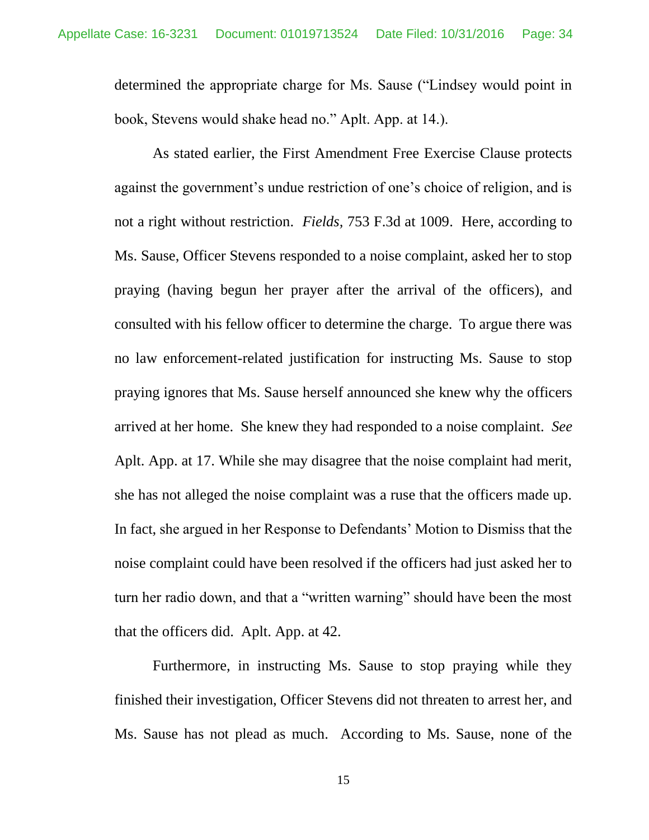determined the appropriate charge for Ms. Sause ("Lindsey would point in book, Stevens would shake head no." Aplt. App. at 14.).

As stated earlier, the First Amendment Free Exercise Clause protects against the government's undue restriction of one's choice of religion, and is not a right without restriction. *Fields,* 753 F.3d at 1009. Here, according to Ms. Sause, Officer Stevens responded to a noise complaint, asked her to stop praying (having begun her prayer after the arrival of the officers), and consulted with his fellow officer to determine the charge. To argue there was no law enforcement-related justification for instructing Ms. Sause to stop praying ignores that Ms. Sause herself announced she knew why the officers arrived at her home. She knew they had responded to a noise complaint. *See*  Aplt. App. at 17. While she may disagree that the noise complaint had merit, she has not alleged the noise complaint was a ruse that the officers made up. In fact, she argued in her Response to Defendants' Motion to Dismiss that the noise complaint could have been resolved if the officers had just asked her to turn her radio down, and that a "written warning" should have been the most that the officers did. Aplt. App. at 42.

Furthermore, in instructing Ms. Sause to stop praying while they finished their investigation, Officer Stevens did not threaten to arrest her, and Ms. Sause has not plead as much. According to Ms. Sause, none of the

15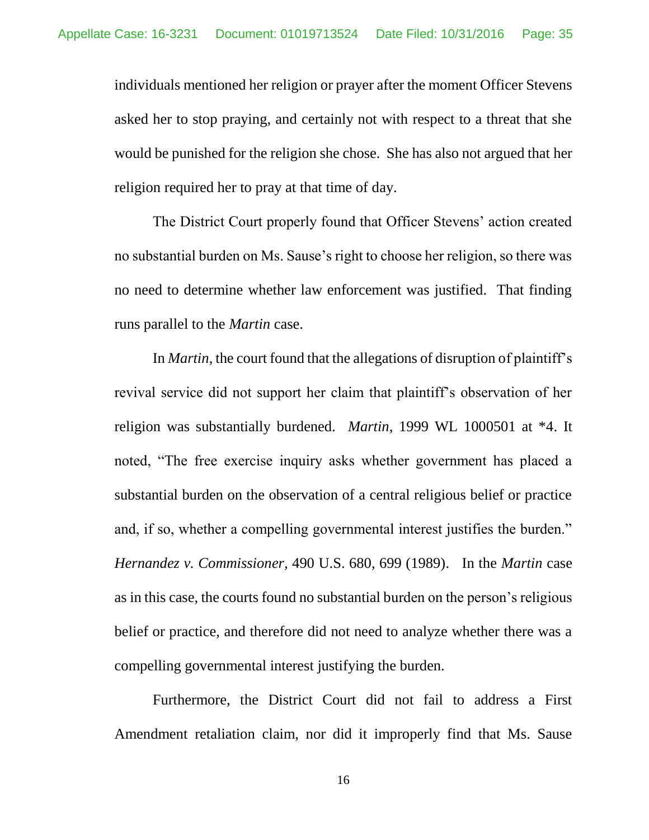individuals mentioned her religion or prayer after the moment Officer Stevens asked her to stop praying, and certainly not with respect to a threat that she would be punished for the religion she chose. She has also not argued that her religion required her to pray at that time of day.

The District Court properly found that Officer Stevens' action created no substantial burden on Ms. Sause's right to choose her religion, so there was no need to determine whether law enforcement was justified. That finding runs parallel to the *Martin* case.

In *Martin*, the court found that the allegations of disruption of plaintiff's revival service did not support her claim that plaintiff's observation of her religion was substantially burdened. *Martin*, 1999 WL 1000501 at \*4. It noted, "The free exercise inquiry asks whether government has placed a substantial burden on the observation of a central religious belief or practice and, if so, whether a compelling governmental interest justifies the burden." *Hernandez v. Commissioner,* 490 U.S. 680, 699 (1989). In the *Martin* case as in this case, the courts found no substantial burden on the person's religious belief or practice, and therefore did not need to analyze whether there was a compelling governmental interest justifying the burden.

Furthermore, the District Court did not fail to address a First Amendment retaliation claim, nor did it improperly find that Ms. Sause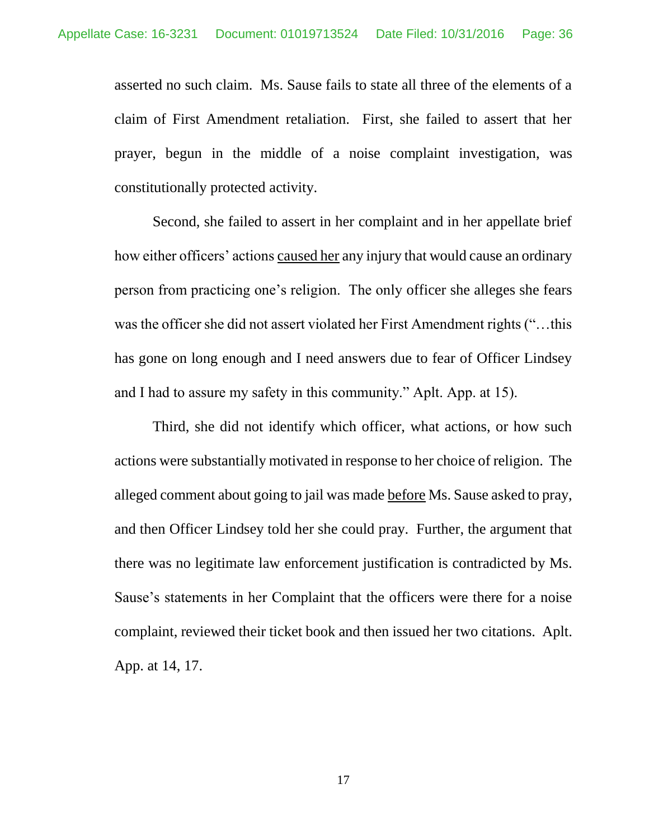asserted no such claim. Ms. Sause fails to state all three of the elements of a claim of First Amendment retaliation. First, she failed to assert that her prayer, begun in the middle of a noise complaint investigation, was constitutionally protected activity.

Second, she failed to assert in her complaint and in her appellate brief how either officers' actions caused her any injury that would cause an ordinary person from practicing one's religion. The only officer she alleges she fears was the officer she did not assert violated her First Amendment rights ("…this has gone on long enough and I need answers due to fear of Officer Lindsey and I had to assure my safety in this community." Aplt. App. at 15).

Third, she did not identify which officer, what actions, or how such actions were substantially motivated in response to her choice of religion. The alleged comment about going to jail was made before Ms. Sause asked to pray, and then Officer Lindsey told her she could pray. Further, the argument that there was no legitimate law enforcement justification is contradicted by Ms. Sause's statements in her Complaint that the officers were there for a noise complaint, reviewed their ticket book and then issued her two citations. Aplt. App. at 14, 17.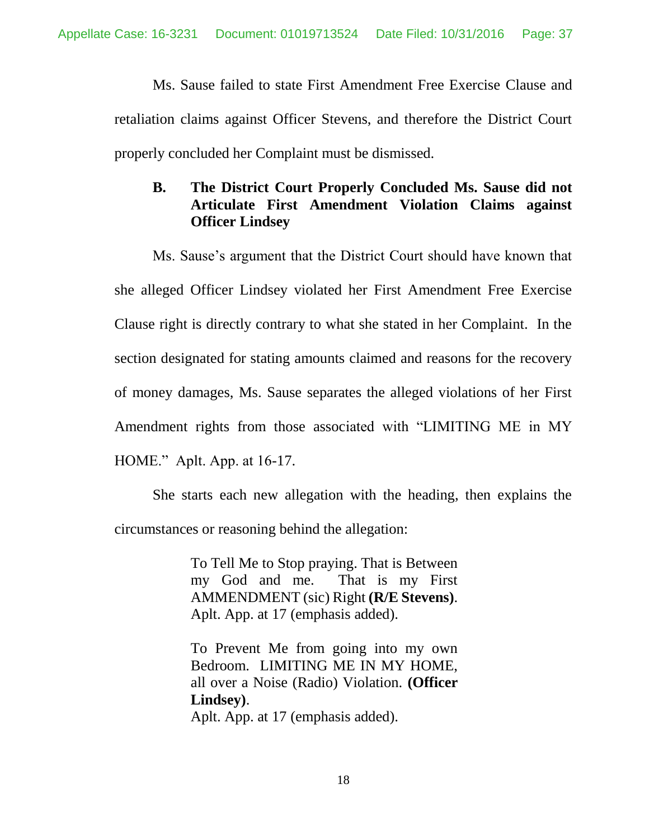Ms. Sause failed to state First Amendment Free Exercise Clause and retaliation claims against Officer Stevens, and therefore the District Court properly concluded her Complaint must be dismissed.

# **B. The District Court Properly Concluded Ms. Sause did not Articulate First Amendment Violation Claims against Officer Lindsey**

Ms. Sause's argument that the District Court should have known that she alleged Officer Lindsey violated her First Amendment Free Exercise Clause right is directly contrary to what she stated in her Complaint. In the section designated for stating amounts claimed and reasons for the recovery of money damages, Ms. Sause separates the alleged violations of her First Amendment rights from those associated with "LIMITING ME in MY HOME." Aplt. App. at 16-17.

She starts each new allegation with the heading, then explains the circumstances or reasoning behind the allegation:

> To Tell Me to Stop praying. That is Between my God and me. That is my First AMMENDMENT (sic) Right **(R/E Stevens)**. Aplt. App. at 17 (emphasis added).

> To Prevent Me from going into my own Bedroom. LIMITING ME IN MY HOME, all over a Noise (Radio) Violation. **(Officer Lindsey)**. Aplt. App. at 17 (emphasis added).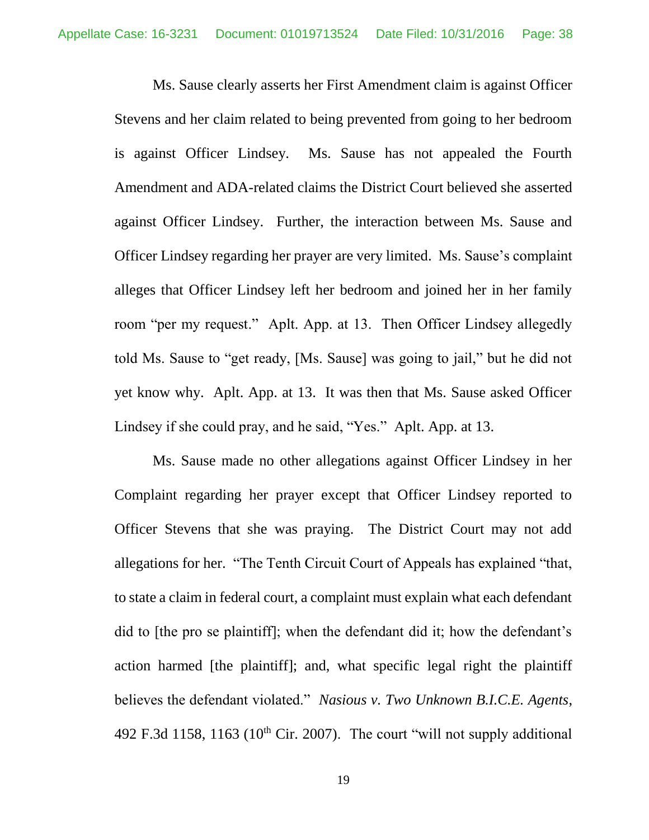Ms. Sause clearly asserts her First Amendment claim is against Officer Stevens and her claim related to being prevented from going to her bedroom is against Officer Lindsey. Ms. Sause has not appealed the Fourth Amendment and ADA-related claims the District Court believed she asserted against Officer Lindsey. Further, the interaction between Ms. Sause and Officer Lindsey regarding her prayer are very limited. Ms. Sause's complaint alleges that Officer Lindsey left her bedroom and joined her in her family room "per my request." Aplt. App. at 13. Then Officer Lindsey allegedly told Ms. Sause to "get ready, [Ms. Sause] was going to jail," but he did not yet know why. Aplt. App. at 13. It was then that Ms. Sause asked Officer Lindsey if she could pray, and he said, "Yes." Aplt. App. at 13.

Ms. Sause made no other allegations against Officer Lindsey in her Complaint regarding her prayer except that Officer Lindsey reported to Officer Stevens that she was praying. The District Court may not add allegations for her. "The Tenth Circuit Court of Appeals has explained "that, to state a claim in federal court, a complaint must explain what each defendant did to [the pro se plaintiff]; when the defendant did it; how the defendant's action harmed [the plaintiff]; and, what specific legal right the plaintiff believes the defendant violated." *Nasious v. Two Unknown B.I.C.E. Agents*, 492 F.3d 1158, 1163 ( $10^{th}$  Cir. 2007). The court "will not supply additional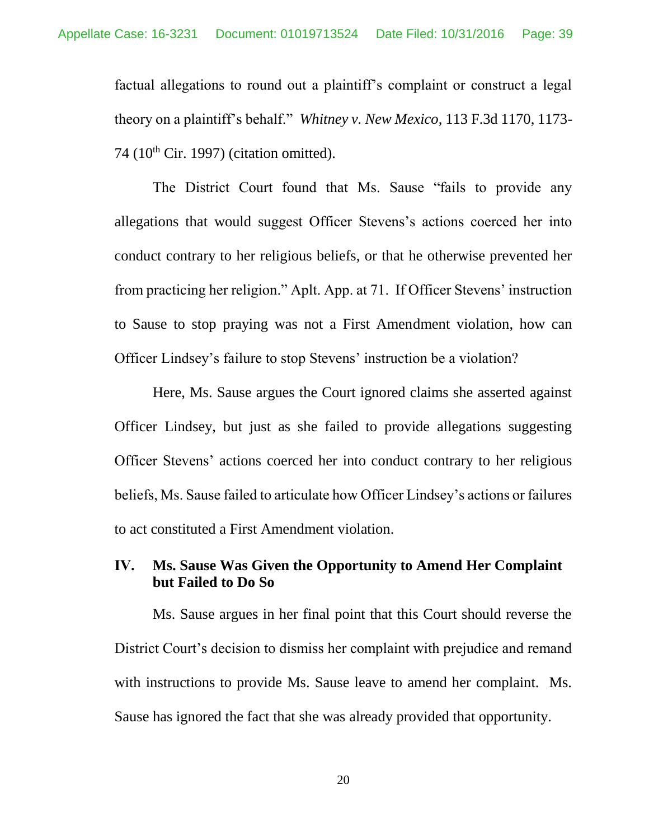factual allegations to round out a plaintiff's complaint or construct a legal theory on a plaintiff's behalf." *Whitney v. New Mexico*, 113 F.3d 1170, 1173- 74 ( $10<sup>th</sup>$  Cir. 1997) (citation omitted).

The District Court found that Ms. Sause "fails to provide any allegations that would suggest Officer Stevens's actions coerced her into conduct contrary to her religious beliefs, or that he otherwise prevented her from practicing her religion." Aplt. App. at 71. If Officer Stevens' instruction to Sause to stop praying was not a First Amendment violation, how can Officer Lindsey's failure to stop Stevens' instruction be a violation?

Here, Ms. Sause argues the Court ignored claims she asserted against Officer Lindsey, but just as she failed to provide allegations suggesting Officer Stevens' actions coerced her into conduct contrary to her religious beliefs, Ms. Sause failed to articulate how Officer Lindsey's actions or failures to act constituted a First Amendment violation.

## **IV. Ms. Sause Was Given the Opportunity to Amend Her Complaint but Failed to Do So**

Ms. Sause argues in her final point that this Court should reverse the District Court's decision to dismiss her complaint with prejudice and remand with instructions to provide Ms. Sause leave to amend her complaint. Ms. Sause has ignored the fact that she was already provided that opportunity.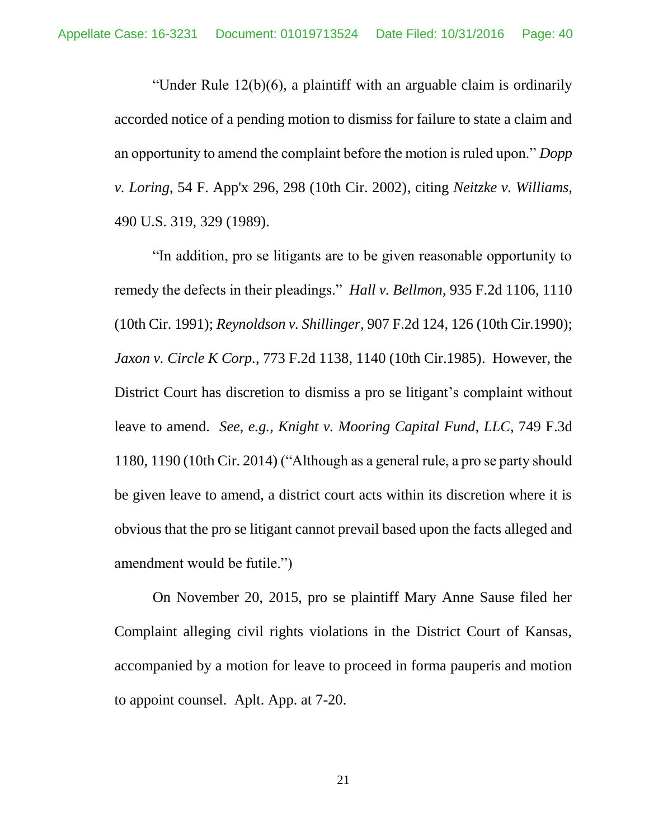"Under Rule 12(b)(6), a plaintiff with an arguable claim is ordinarily accorded notice of a pending motion to dismiss for failure to state a claim and an opportunity to amend the complaint before the motion is ruled upon." *Dopp v. Loring*, 54 F. App'x 296, 298 (10th Cir. 2002), citing *Neitzke v. Williams,* 490 U.S. 319, 329 (1989).

"In addition, pro se litigants are to be given reasonable opportunity to remedy the defects in their pleadings." *Hall v. Bellmon*, 935 F.2d 1106, 1110 (10th Cir. 1991); *Reynoldson v. Shillinger,* 907 F.2d 124, 126 (10th Cir.1990); *Jaxon v. Circle K Corp.,* 773 F.2d 1138, 1140 (10th Cir.1985). However, the District Court has discretion to dismiss a pro se litigant's complaint without leave to amend. *See, e.g., Knight v. Mooring Capital Fund*, *LLC*, 749 F.3d 1180, 1190 (10th Cir. 2014) ("Although as a general rule, a pro se party should be given leave to amend, a district court acts within its discretion where it is obvious that the pro se litigant cannot prevail based upon the facts alleged and amendment would be futile.")

On November 20, 2015, pro se plaintiff Mary Anne Sause filed her Complaint alleging civil rights violations in the District Court of Kansas, accompanied by a motion for leave to proceed in forma pauperis and motion to appoint counsel. Aplt. App. at 7-20.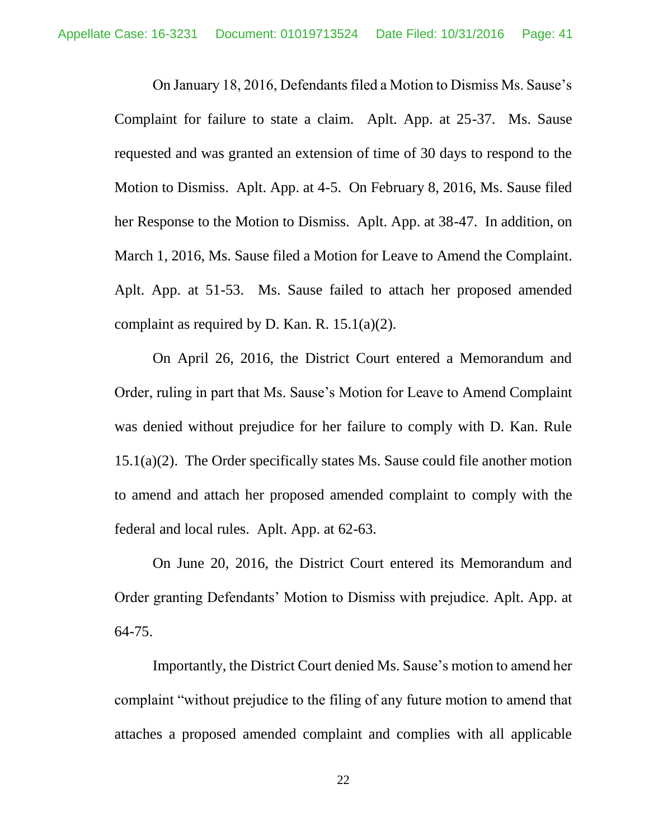On January 18, 2016, Defendants filed a Motion to Dismiss Ms. Sause's Complaint for failure to state a claim. Aplt. App. at 25-37. Ms. Sause requested and was granted an extension of time of 30 days to respond to the Motion to Dismiss. Aplt. App. at 4-5. On February 8, 2016, Ms. Sause filed her Response to the Motion to Dismiss. Aplt. App. at 38-47. In addition, on March 1, 2016, Ms. Sause filed a Motion for Leave to Amend the Complaint. Aplt. App. at 51-53. Ms. Sause failed to attach her proposed amended complaint as required by D. Kan. R. 15.1(a)(2).

On April 26, 2016, the District Court entered a Memorandum and Order, ruling in part that Ms. Sause's Motion for Leave to Amend Complaint was denied without prejudice for her failure to comply with D. Kan. Rule 15.1(a)(2). The Order specifically states Ms. Sause could file another motion to amend and attach her proposed amended complaint to comply with the federal and local rules. Aplt. App. at 62-63.

On June 20, 2016, the District Court entered its Memorandum and Order granting Defendants' Motion to Dismiss with prejudice. Aplt. App. at 64-75.

Importantly, the District Court denied Ms. Sause's motion to amend her complaint "without prejudice to the filing of any future motion to amend that attaches a proposed amended complaint and complies with all applicable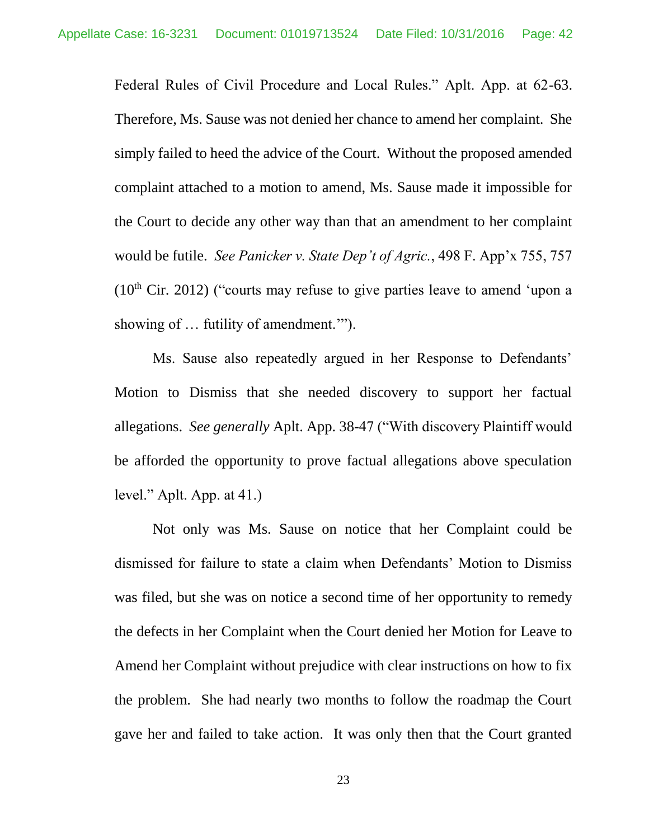Federal Rules of Civil Procedure and Local Rules." Aplt. App. at 62-63. Therefore, Ms. Sause was not denied her chance to amend her complaint. She simply failed to heed the advice of the Court. Without the proposed amended complaint attached to a motion to amend, Ms. Sause made it impossible for the Court to decide any other way than that an amendment to her complaint would be futile. *See Panicker v. State Dep't of Agric.*, 498 F. App'x 755, 757  $(10<sup>th</sup> Cir. 2012)$  ("courts may refuse to give parties leave to amend 'upon a showing of … futility of amendment.'").

Ms. Sause also repeatedly argued in her Response to Defendants' Motion to Dismiss that she needed discovery to support her factual allegations. *See generally* Aplt. App. 38-47 ("With discovery Plaintiff would be afforded the opportunity to prove factual allegations above speculation level." Aplt. App. at 41.)

Not only was Ms. Sause on notice that her Complaint could be dismissed for failure to state a claim when Defendants' Motion to Dismiss was filed, but she was on notice a second time of her opportunity to remedy the defects in her Complaint when the Court denied her Motion for Leave to Amend her Complaint without prejudice with clear instructions on how to fix the problem. She had nearly two months to follow the roadmap the Court gave her and failed to take action. It was only then that the Court granted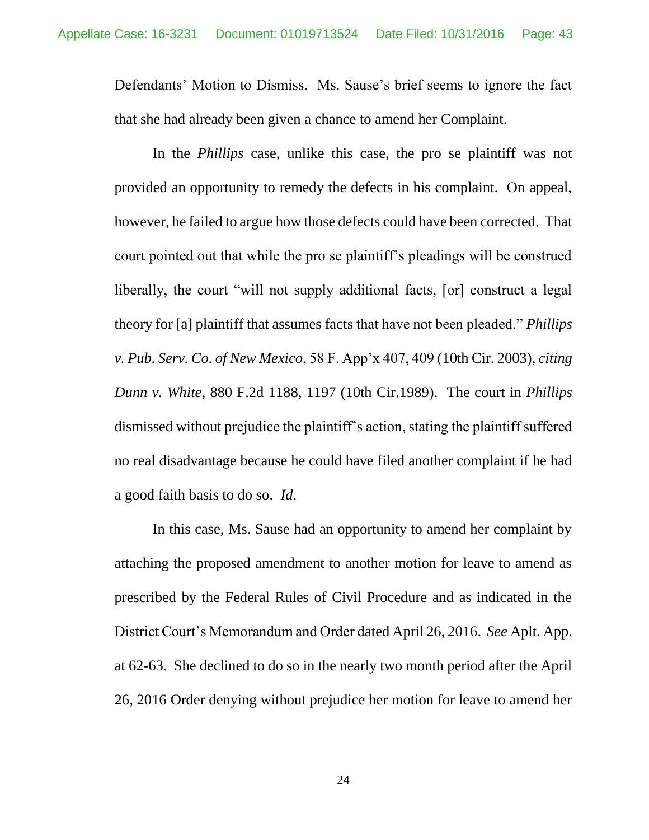Defendants' Motion to Dismiss. Ms. Sause's brief seems to ignore the fact that she had already been given a chance to amend her Complaint.

In the *Phillips* case, unlike this case, the pro se plaintiff was not provided an opportunity to remedy the defects in his complaint. On appeal, however, he failed to argue how those defects could have been corrected. That court pointed out that while the pro se plaintiff's pleadings will be construed liberally, the court "will not supply additional facts, [or] construct a legal theory for [a] plaintiff that assumes facts that have not been pleaded." *Phillips v. Pub. Serv. Co. of New Mexico*, 58 F. App'x 407, 409 (10th Cir. 2003), *citing Dunn v. White,* 880 F.2d 1188, 1197 (10th Cir.1989). The court in *Phillips* dismissed without prejudice the plaintiff's action, stating the plaintiff suffered no real disadvantage because he could have filed another complaint if he had a good faith basis to do so. *Id*.

In this case, Ms. Sause had an opportunity to amend her complaint by attaching the proposed amendment to another motion for leave to amend as prescribed by the Federal Rules of Civil Procedure and as indicated in the District Court's Memorandum and Order dated April 26, 2016. *See* Aplt. App. at 62-63. She declined to do so in the nearly two month period after the April 26, 2016 Order denying without prejudice her motion for leave to amend her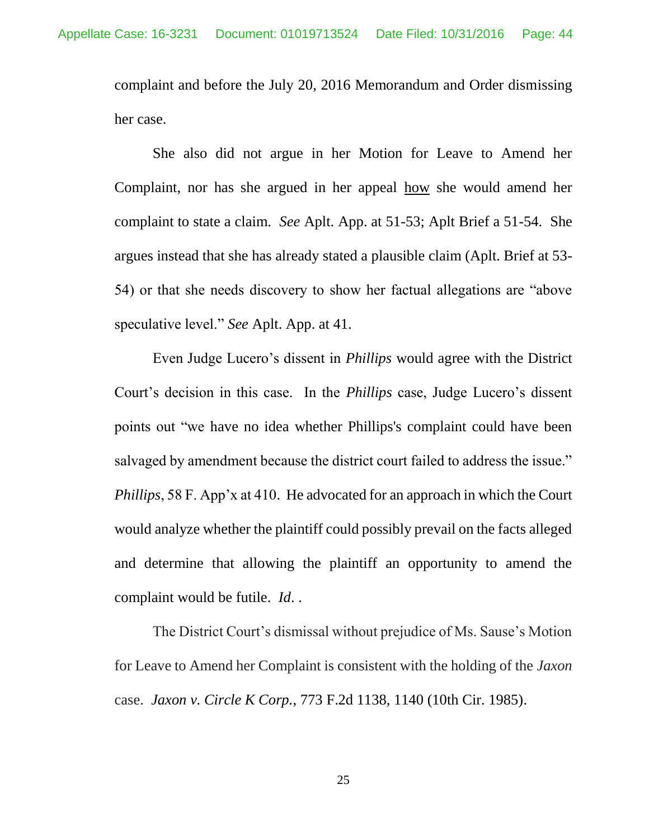complaint and before the July 20, 2016 Memorandum and Order dismissing her case.

She also did not argue in her Motion for Leave to Amend her Complaint, nor has she argued in her appeal how she would amend her complaint to state a claim. *See* Aplt. App. at 51-53; Aplt Brief a 51-54. She argues instead that she has already stated a plausible claim (Aplt. Brief at 53- 54) or that she needs discovery to show her factual allegations are "above speculative level." *See* Aplt. App. at 41.

Even Judge Lucero's dissent in *Phillips* would agree with the District Court's decision in this case. In the *Phillips* case, Judge Lucero's dissent points out "we have no idea whether Phillips's complaint could have been salvaged by amendment because the district court failed to address the issue." *Phillips*, 58 F. App'x at 410. He advocated for an approach in which the Court would analyze whether the plaintiff could possibly prevail on the facts alleged and determine that allowing the plaintiff an opportunity to amend the complaint would be futile. *Id*. .

The District Court's dismissal without prejudice of Ms. Sause's Motion for Leave to Amend her Complaint is consistent with the holding of the *Jaxon* case. *Jaxon v. Circle K Corp.*, 773 F.2d 1138, 1140 (10th Cir. 1985).

25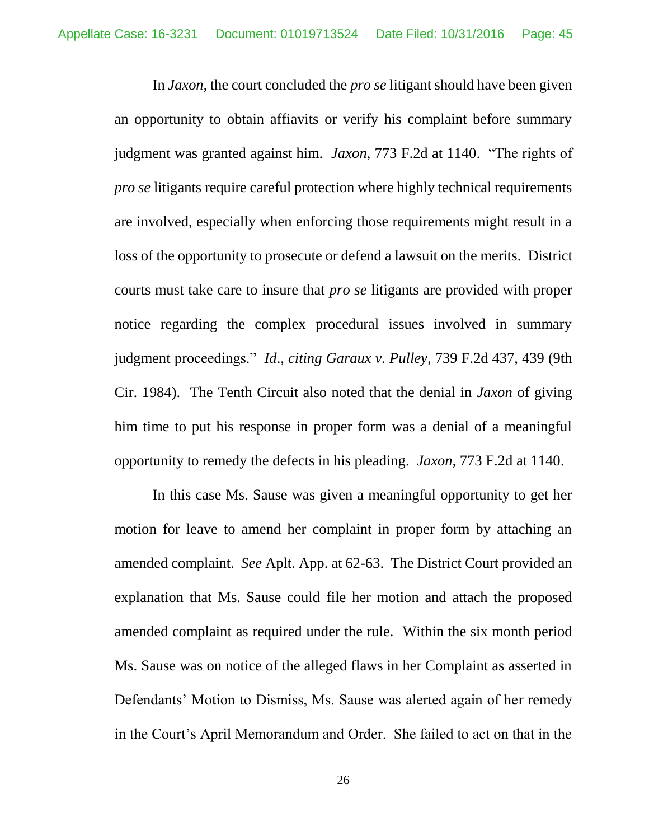In *Jaxon*, the court concluded the *pro se* litigant should have been given an opportunity to obtain affiavits or verify his complaint before summary judgment was granted against him. *Jaxon*, 773 F.2d at 1140. "The rights of *pro se* litigants require careful protection where highly technical requirements are involved, especially when enforcing those requirements might result in a loss of the opportunity to prosecute or defend a lawsuit on the merits. District courts must take care to insure that *pro se* litigants are provided with proper notice regarding the complex procedural issues involved in summary judgment proceedings." *Id*., *citing Garaux v. Pulley,* 739 F.2d 437, 439 (9th Cir. 1984). The Tenth Circuit also noted that the denial in *Jaxon* of giving him time to put his response in proper form was a denial of a meaningful opportunity to remedy the defects in his pleading. *Jaxon*, 773 F.2d at 1140.

In this case Ms. Sause was given a meaningful opportunity to get her motion for leave to amend her complaint in proper form by attaching an amended complaint. *See* Aplt. App. at 62-63. The District Court provided an explanation that Ms. Sause could file her motion and attach the proposed amended complaint as required under the rule. Within the six month period Ms. Sause was on notice of the alleged flaws in her Complaint as asserted in Defendants' Motion to Dismiss, Ms. Sause was alerted again of her remedy in the Court's April Memorandum and Order. She failed to act on that in the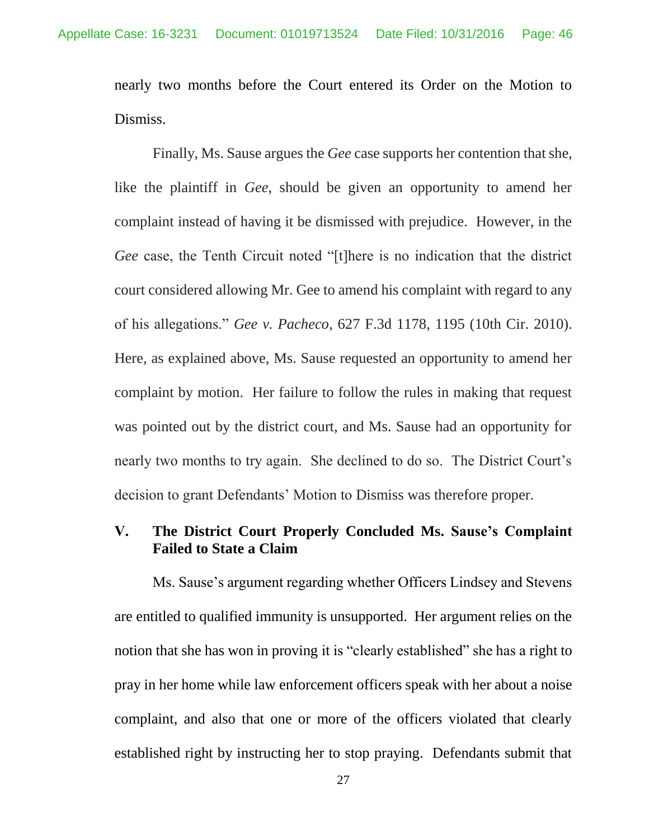nearly two months before the Court entered its Order on the Motion to Dismiss.

Finally, Ms. Sause argues the *Gee* case supports her contention that she, like the plaintiff in *Gee*, should be given an opportunity to amend her complaint instead of having it be dismissed with prejudice. However, in the *Gee* case, the Tenth Circuit noted "[t]here is no indication that the district court considered allowing Mr. Gee to amend his complaint with regard to any of his allegations." *Gee v. Pacheco*, 627 F.3d 1178, 1195 (10th Cir. 2010). Here, as explained above, Ms. Sause requested an opportunity to amend her complaint by motion. Her failure to follow the rules in making that request was pointed out by the district court, and Ms. Sause had an opportunity for nearly two months to try again. She declined to do so. The District Court's decision to grant Defendants' Motion to Dismiss was therefore proper.

## **V. The District Court Properly Concluded Ms. Sause's Complaint Failed to State a Claim**

Ms. Sause's argument regarding whether Officers Lindsey and Stevens are entitled to qualified immunity is unsupported. Her argument relies on the notion that she has won in proving it is "clearly established" she has a right to pray in her home while law enforcement officers speak with her about a noise complaint, and also that one or more of the officers violated that clearly established right by instructing her to stop praying. Defendants submit that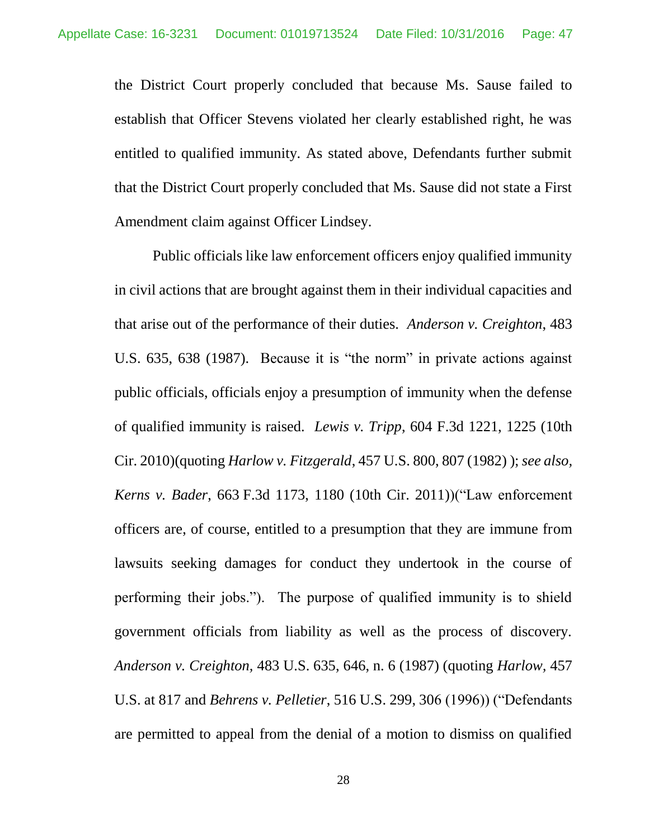the District Court properly concluded that because Ms. Sause failed to establish that Officer Stevens violated her clearly established right, he was entitled to qualified immunity. As stated above, Defendants further submit that the District Court properly concluded that Ms. Sause did not state a First Amendment claim against Officer Lindsey.

Public officials like law enforcement officers enjoy qualified immunity in civil actions that are brought against them in their individual capacities and that arise out of the performance of their duties. *Anderson v. Creighton*, 483 U.S. 635, 638 (1987). Because it is "the norm" in private actions against public officials, officials enjoy a presumption of immunity when the defense of qualified immunity is raised. *Lewis v. Tripp*, 604 F.3d 1221, 1225 (10th Cir. 2010)(quoting *Harlow v. Fitzgerald*, 457 U.S. 800, 807 (1982) ); *see also, Kerns v. Bader*, 663 F.3d 1173, 1180 (10th Cir. 2011))("Law enforcement officers are, of course, entitled to a presumption that they are immune from lawsuits seeking damages for conduct they undertook in the course of performing their jobs."). The purpose of qualified immunity is to shield government officials from liability as well as the process of discovery. *Anderson v. Creighton,* 483 U.S. 635, 646, n. 6 (1987) (quoting *Harlow,* 457 U.S. at 817 and *Behrens v. Pelletier*, 516 U.S. 299, 306 (1996)) ("Defendants are permitted to appeal from the denial of a motion to dismiss on qualified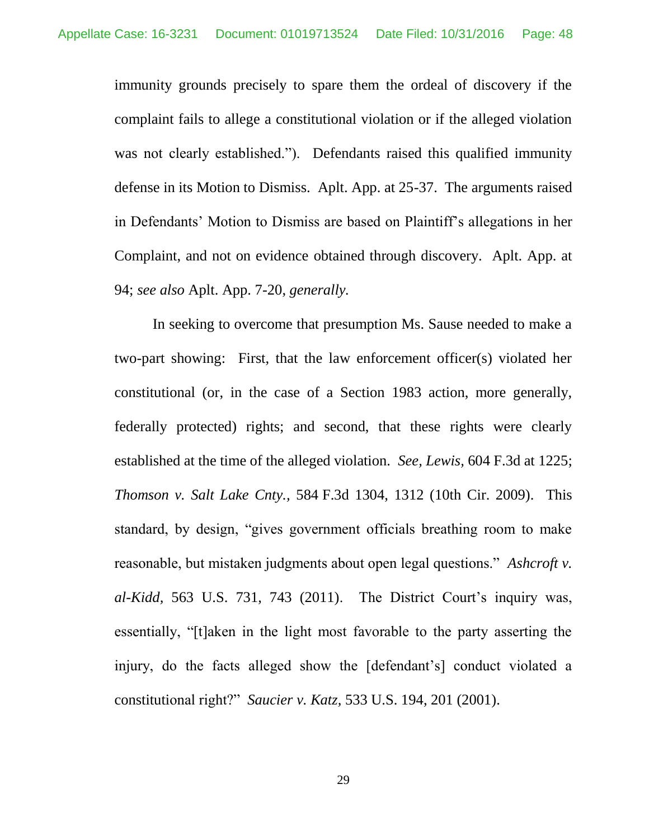immunity grounds precisely to spare them the ordeal of discovery if the complaint fails to allege a constitutional violation or if the alleged violation was not clearly established."). Defendants raised this qualified immunity defense in its Motion to Dismiss. Aplt. App. at 25-37. The arguments raised in Defendants' Motion to Dismiss are based on Plaintiff's allegations in her Complaint, and not on evidence obtained through discovery. Aplt. App. at 94; *see also* Aplt. App. 7-20, *generally.*

In seeking to overcome that presumption Ms. Sause needed to make a two-part showing: First, that the law enforcement officer(s) violated her constitutional (or, in the case of a Section 1983 action, more generally, federally protected) rights; and second, that these rights were clearly established at the time of the alleged violation. *See, Lewis,* 604 F.3d at 1225; *Thomson v. Salt Lake Cnty.,* 584 F.3d 1304, 1312 (10th Cir. 2009). This standard, by design, "gives government officials breathing room to make reasonable, but mistaken judgments about open legal questions." *Ashcroft v. al-Kidd,* 563 U.S. 731, 743 (2011). The District Court's inquiry was, essentially, "[t]aken in the light most favorable to the party asserting the injury, do the facts alleged show the [defendant's] conduct violated a constitutional right?" *Saucier v. Katz,* 533 U.S. 194, 201 (2001).

29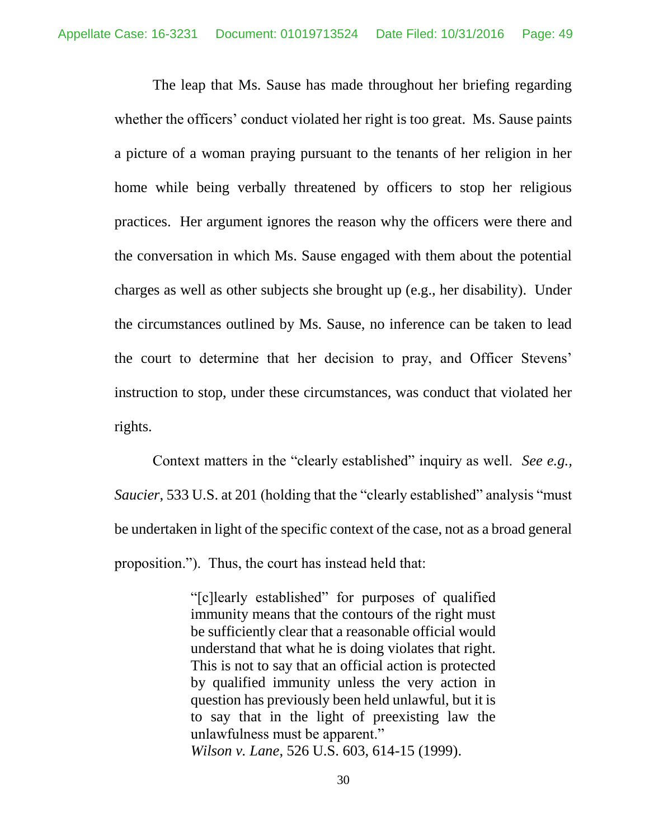The leap that Ms. Sause has made throughout her briefing regarding whether the officers' conduct violated her right is too great. Ms. Sause paints a picture of a woman praying pursuant to the tenants of her religion in her home while being verbally threatened by officers to stop her religious practices. Her argument ignores the reason why the officers were there and the conversation in which Ms. Sause engaged with them about the potential charges as well as other subjects she brought up (e.g., her disability). Under the circumstances outlined by Ms. Sause, no inference can be taken to lead the court to determine that her decision to pray, and Officer Stevens' instruction to stop, under these circumstances, was conduct that violated her rights.

Context matters in the "clearly established" inquiry as well. *See e.g., Saucier*, 533 U.S. at 201 (holding that the "clearly established" analysis "must" be undertaken in light of the specific context of the case, not as a broad general proposition."). Thus, the court has instead held that:

> "[c]learly established" for purposes of qualified immunity means that the contours of the right must be sufficiently clear that a reasonable official would understand that what he is doing violates that right. This is not to say that an official action is protected by qualified immunity unless the very action in question has previously been held unlawful, but it is to say that in the light of preexisting law the unlawfulness must be apparent." *Wilson v. Lane*, 526 U.S. 603, 614-15 (1999).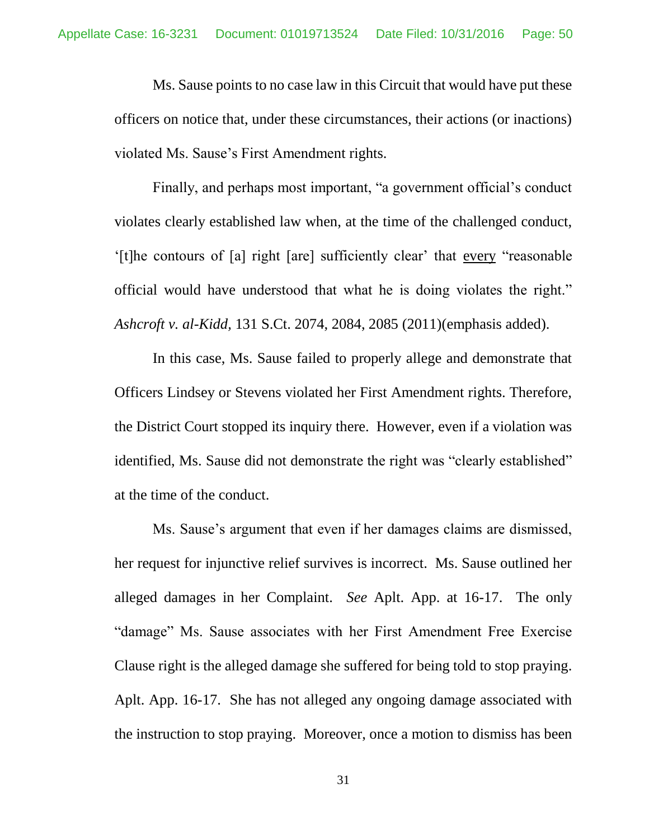Ms. Sause points to no case law in this Circuit that would have put these officers on notice that, under these circumstances, their actions (or inactions) violated Ms. Sause's First Amendment rights.

Finally, and perhaps most important, "a government official's conduct violates clearly established law when, at the time of the challenged conduct, '[t]he contours of [a] right [are] sufficiently clear' that every "reasonable official would have understood that what he is doing violates the right." *Ashcroft v. al-Kidd,* 131 S.Ct. 2074, 2084, 2085 (2011)(emphasis added).

In this case, Ms. Sause failed to properly allege and demonstrate that Officers Lindsey or Stevens violated her First Amendment rights. Therefore, the District Court stopped its inquiry there. However, even if a violation was identified, Ms. Sause did not demonstrate the right was "clearly established" at the time of the conduct.

Ms. Sause's argument that even if her damages claims are dismissed, her request for injunctive relief survives is incorrect. Ms. Sause outlined her alleged damages in her Complaint. *See* Aplt. App. at 16-17. The only "damage" Ms. Sause associates with her First Amendment Free Exercise Clause right is the alleged damage she suffered for being told to stop praying. Aplt. App. 16-17. She has not alleged any ongoing damage associated with the instruction to stop praying. Moreover, once a motion to dismiss has been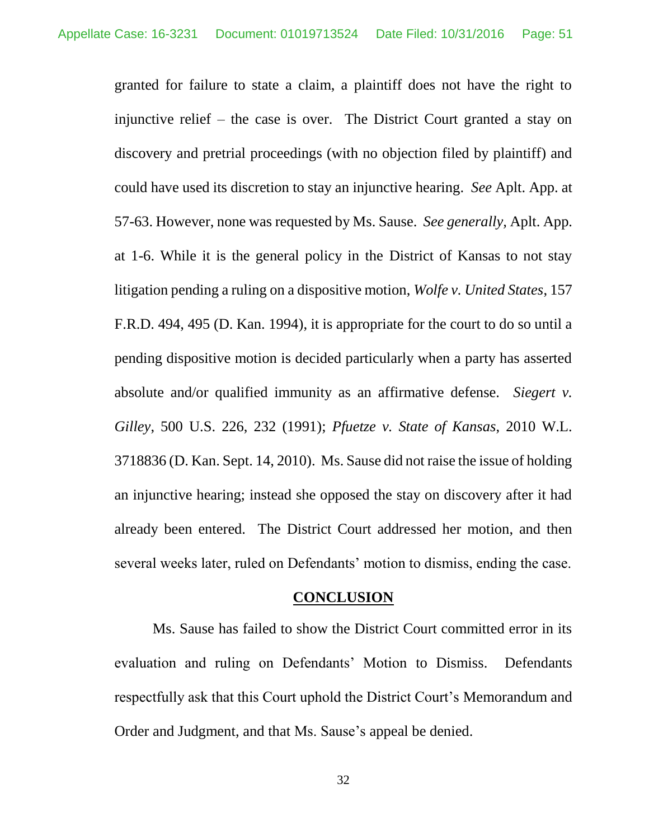granted for failure to state a claim, a plaintiff does not have the right to injunctive relief – the case is over. The District Court granted a stay on discovery and pretrial proceedings (with no objection filed by plaintiff) and could have used its discretion to stay an injunctive hearing. *See* Aplt. App. at 57-63. However, none was requested by Ms. Sause. *See generally,* Aplt. App. at 1-6. While it is the general policy in the District of Kansas to not stay litigation pending a ruling on a dispositive motion, *Wolfe v. United States*, 157 F.R.D. 494, 495 (D. Kan. 1994), it is appropriate for the court to do so until a pending dispositive motion is decided particularly when a party has asserted absolute and/or qualified immunity as an affirmative defense. *Siegert v. Gilley*, 500 U.S. 226, 232 (1991); *Pfuetze v. State of Kansas*, 2010 W.L. 3718836 (D. Kan. Sept. 14, 2010). Ms. Sause did not raise the issue of holding an injunctive hearing; instead she opposed the stay on discovery after it had already been entered. The District Court addressed her motion, and then several weeks later, ruled on Defendants' motion to dismiss, ending the case.

#### **CONCLUSION**

Ms. Sause has failed to show the District Court committed error in its evaluation and ruling on Defendants' Motion to Dismiss. Defendants respectfully ask that this Court uphold the District Court's Memorandum and Order and Judgment, and that Ms. Sause's appeal be denied.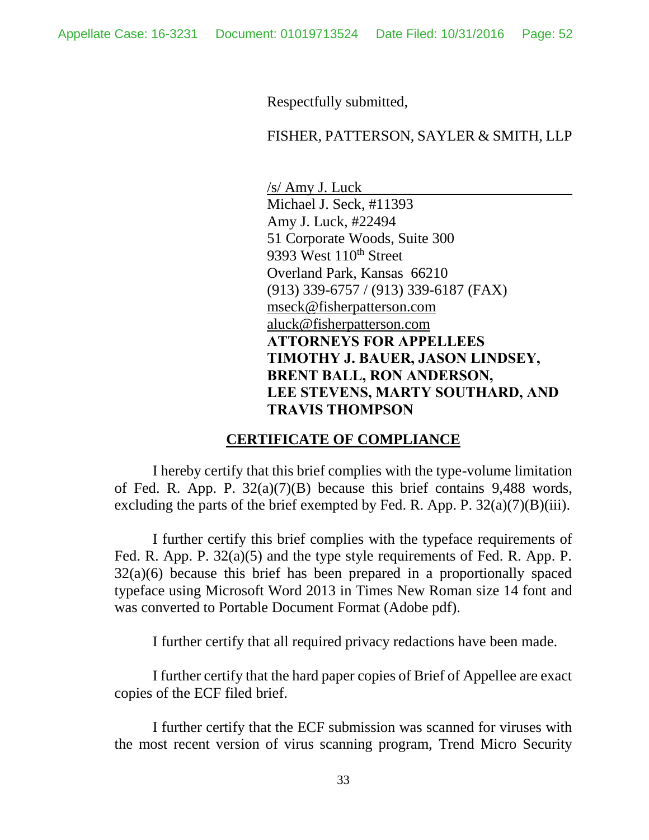Respectfully submitted,

#### FISHER, PATTERSON, SAYLER & SMITH, LLP

/s/ Amy J. Luck Michael J. Seck, #11393 Amy J. Luck, #22494 51 Corporate Woods, Suite 300 9393 West 110<sup>th</sup> Street Overland Park, Kansas 66210 (913) 339-6757 / (913) 339-6187 (FAX) [mseck@fisherpatterson.com](mailto:mseck@fisherpatterson.com) [aluck@fisherpatterson.com](mailto:aluck@fisherpatterson.com) **ATTORNEYS FOR APPELLEES TIMOTHY J. BAUER, JASON LINDSEY, BRENT BALL, RON ANDERSON, LEE STEVENS, MARTY SOUTHARD, AND TRAVIS THOMPSON**

#### **CERTIFICATE OF COMPLIANCE**

I hereby certify that this brief complies with the type-volume limitation of Fed. R. App. P. 32(a)(7)(B) because this brief contains 9,488 words, excluding the parts of the brief exempted by Fed. R. App. P.  $32(a)(7)(B)(iii)$ .

I further certify this brief complies with the typeface requirements of Fed. R. App. P. 32(a)(5) and the type style requirements of Fed. R. App. P. 32(a)(6) because this brief has been prepared in a proportionally spaced typeface using Microsoft Word 2013 in Times New Roman size 14 font and was converted to Portable Document Format (Adobe pdf).

I further certify that all required privacy redactions have been made.

I further certify that the hard paper copies of Brief of Appellee are exact copies of the ECF filed brief.

I further certify that the ECF submission was scanned for viruses with the most recent version of virus scanning program, Trend Micro Security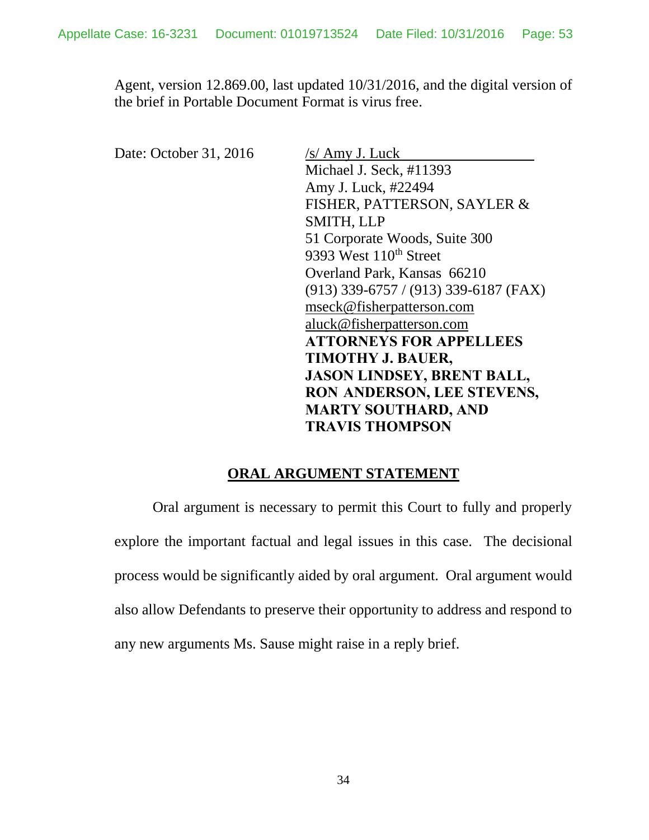Agent, version 12.869.00, last updated 10/31/2016, and the digital version of the brief in Portable Document Format is virus free.

Date: October 31, 2016 /s/ Amy J. Luck

Michael J. Seck, #11393 Amy J. Luck, #22494 FISHER, PATTERSON, SAYLER & SMITH, LLP 51 Corporate Woods, Suite 300 9393 West 110<sup>th</sup> Street Overland Park, Kansas 66210 (913) 339-6757 / (913) 339-6187 (FAX) [mseck@fisherpatterson.com](mailto:mseck@fisherpatterson.com) [aluck@fisherpatterson.com](mailto:aluck@fisherpatterson.com) **ATTORNEYS FOR APPELLEES TIMOTHY J. BAUER, JASON LINDSEY, BRENT BALL, RON ANDERSON, LEE STEVENS, MARTY SOUTHARD, AND TRAVIS THOMPSON**

### **ORAL ARGUMENT STATEMENT**

<span id="page-52-0"></span>Oral argument is necessary to permit this Court to fully and properly explore the important factual and legal issues in this case. The decisional process would be significantly aided by oral argument. Oral argument would also allow Defendants to preserve their opportunity to address and respond to any new arguments Ms. Sause might raise in a reply brief.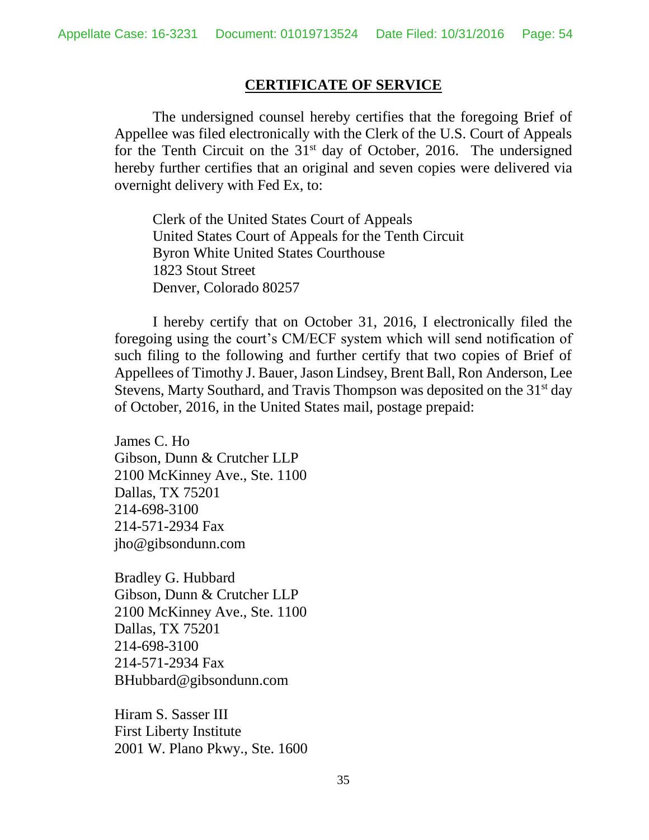### **CERTIFICATE OF SERVICE**

The undersigned counsel hereby certifies that the foregoing Brief of Appellee was filed electronically with the Clerk of the U.S. Court of Appeals for the Tenth Circuit on the  $31<sup>st</sup>$  day of October, 2016. The undersigned hereby further certifies that an original and seven copies were delivered via overnight delivery with Fed Ex, to:

Clerk of the United States Court of Appeals United States Court of Appeals for the Tenth Circuit Byron White United States Courthouse 1823 Stout Street Denver, Colorado 80257

I hereby certify that on October 31, 2016, I electronically filed the foregoing using the court's CM/ECF system which will send notification of such filing to the following and further certify that two copies of Brief of Appellees of Timothy J. Bauer, Jason Lindsey, Brent Ball, Ron Anderson, Lee Stevens, Marty Southard, and Travis Thompson was deposited on the 31<sup>st</sup> day of October, 2016, in the United States mail, postage prepaid:

James C. Ho Gibson, Dunn & Crutcher LLP 2100 McKinney Ave., Ste. 1100 Dallas, TX 75201 214-698-3100 214-571-2934 Fax jho@gibsondunn.com

Bradley G. Hubbard Gibson, Dunn & Crutcher LLP 2100 McKinney Ave., Ste. 1100 Dallas, TX 75201 214-698-3100 214-571-2934 Fax [BHubbard@gibsondunn.com](mailto:BHubbard@gibsondunn.com)

Hiram S. Sasser III First Liberty Institute 2001 W. Plano Pkwy., Ste. 1600